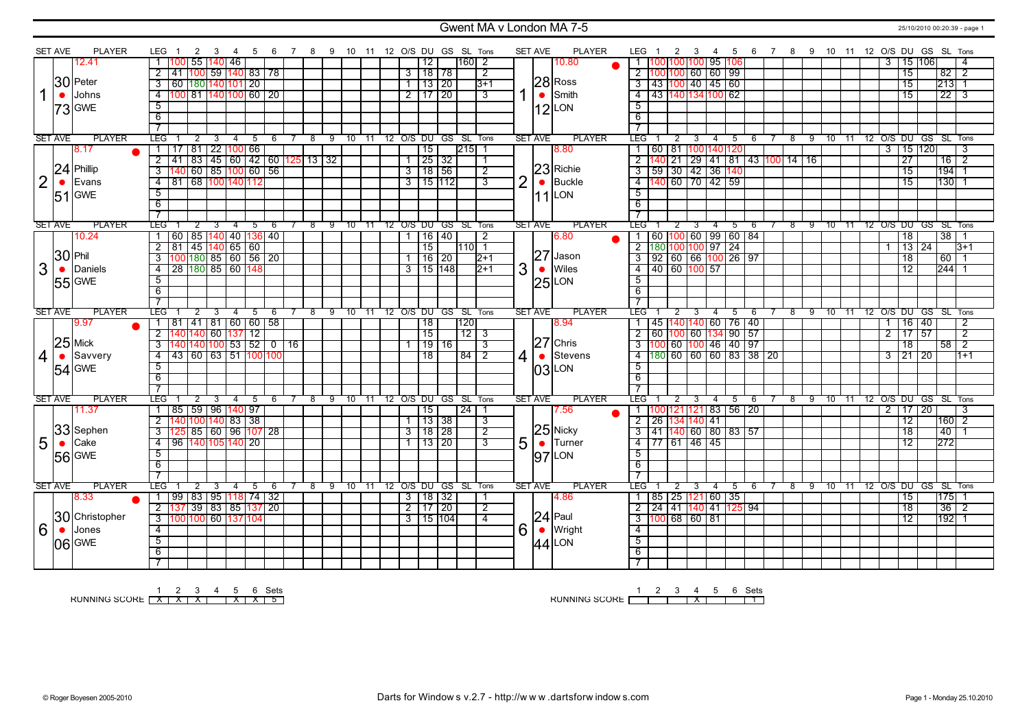### Gwent MA v London MA 7-5 25/10/2010 00:20:39 - page 1

|                | <b>SET AVE</b> | <b>PLAYER</b>     | LEG                       |                                                                  | 2<br>3 | - 4                       |   | -5 | - 6 | 78  |    |                 |       |                | 9 10 11 12 O/S DU GS SL Tons |                |                              |                         |                | <b>SET AVE</b> | <b>PLAYER</b>        | LEG 1                            |                           | 2                            | - 3 |   | 4 | - 5 | 6                                  |                         | 7 8 9 10 11 12 O/S DU GS SL Tons |    |    |          |       |           |                |                 |                      |                                  |                |
|----------------|----------------|-------------------|---------------------------|------------------------------------------------------------------|--------|---------------------------|---|----|-----|-----|----|-----------------|-------|----------------|------------------------------|----------------|------------------------------|-------------------------|----------------|----------------|----------------------|----------------------------------|---------------------------|------------------------------|-----|---|---|-----|------------------------------------|-------------------------|----------------------------------|----|----|----------|-------|-----------|----------------|-----------------|----------------------|----------------------------------|----------------|
|                |                | 12.41             |                           | 100                                                              |        | 55 140 46                 |   |    |     |     |    |                 |       |                | 12                           |                | $160$   2                    |                         |                |                | 10.80                |                                  |                           | <u> 100 100 100  95  106</u> |     |   |   |     |                                    |                         |                                  |    |    |          |       |           | 3              |                 | 15 106               |                                  |                |
|                |                |                   |                           | 2 41 100 59 140 83 78                                            |        |                           |   |    |     |     |    |                 |       |                | $3 \mid 18 \mid 78$          |                |                              | $\overline{2}$          |                |                |                      | 2 100 100 60 60 99               |                           |                              |     |   |   |     |                                    |                         |                                  |    |    |          |       |           |                | $\overline{15}$ |                      | $82 \mid 2$                      |                |
|                |                | 30 Peter          |                           | 3 60 180 140 101 20                                              |        |                           |   |    |     |     |    |                 |       |                |                              | 13 20          |                              | $3+1$                   |                |                | $28$ <sub>Ross</sub> | 3   43   100   40   45   60      |                           |                              |     |   |   |     |                                    |                         |                                  |    |    |          |       |           |                | $\overline{15}$ |                      | $213$ 1                          |                |
| 1              |                | Johns             | $\overline{4}$            | 100 81 140 100 60 20                                             |        |                           |   |    |     |     |    |                 |       |                | $2$ 17 20                    |                |                              | $\overline{\mathbf{3}}$ |                | $\bullet$      | Smith                | 4 43 140 134 100 62              |                           |                              |     |   |   |     |                                    |                         |                                  |    |    |          |       |           |                | $\overline{15}$ |                      | $22 \mid 3$                      |                |
|                | $\bullet$      |                   |                           |                                                                  |        |                           |   |    |     |     |    |                 |       |                |                              |                |                              |                         |                |                |                      |                                  |                           |                              |     |   |   |     |                                    |                         |                                  |    |    |          |       |           |                |                 |                      |                                  |                |
|                |                | <b>73</b> GWE     | 5                         |                                                                  |        |                           |   |    |     |     |    |                 |       |                |                              |                |                              |                         |                |                | $12$ LON             | $\overline{5}$                   |                           |                              |     |   |   |     |                                    |                         |                                  |    |    |          |       |           |                |                 |                      |                                  |                |
|                |                |                   | 6                         |                                                                  |        |                           |   |    |     |     |    |                 |       |                |                              |                |                              |                         |                |                |                      | 6                                |                           |                              |     |   |   |     |                                    |                         |                                  |    |    |          |       |           |                |                 |                      |                                  |                |
|                |                |                   | $\overline{7}$            |                                                                  |        |                           |   |    |     |     |    |                 |       |                |                              |                |                              |                         |                |                |                      | $\overline{\phantom{a}}$         |                           |                              |     |   |   |     |                                    |                         |                                  |    |    |          |       |           |                |                 |                      |                                  |                |
|                | <b>SET AVE</b> | <b>PLAYER</b>     | <b>LEG</b>                |                                                                  | 2      | 4                         |   | 5  | 6   | 8   | 9  | $\overline{10}$ | $-11$ |                | 12 O/S DU GS SL Tons         |                |                              |                         |                | <b>SET AVE</b> | <b>PLAYER</b>        | LEG <sup>-</sup>                 |                           |                              |     |   | 4 | 5   | 6                                  |                         | 8                                | 9  |    | 10       | $-11$ |           |                |                 | 12 O/S DU GS SL Tons |                                  |                |
|                |                | 8.17              |                           | 17                                                               |        | 81 22 100 66              |   |    |     |     |    |                 |       |                | $\overline{15}$              |                | $215$ 1                      |                         |                |                | 8.80                 | $\overline{1}$                   | 60   81   100   140   120 |                              |     |   |   |     |                                    |                         |                                  |    |    |          |       |           |                |                 | $3 \mid 15 \mid 120$ |                                  | 3              |
|                |                |                   | $\overline{2}$            | 41                                                               |        | 83 45 60 42 60 125 13 32  |   |    |     |     |    |                 |       |                |                              | $\sqrt{25}$ 32 |                              | -1                      |                |                |                      | $\overline{2}$                   |                           |                              |     |   |   |     |                                    |                         | 140 21 29 41 81 43 100 14 16     |    |    |          |       |           |                | $\overline{27}$ |                      | $\overline{16}$   $\overline{2}$ |                |
|                | 24             | IPhillip          | $\overline{\overline{3}}$ |                                                                  |        | 60   85   100   60   56   |   |    |     |     |    |                 |       |                | 3 18 56                      |                |                              | $\overline{2}$          |                |                | 23 Richie            | $\sqrt{3}$                       | 59 30 42 36 140           |                              |     |   |   |     |                                    |                         |                                  |    |    |          |       |           |                | $\overline{15}$ |                      | 194                              |                |
| $\overline{2}$ | $\bullet$      | Evans             | $-4$                      | 81 68 100 140 112                                                |        |                           |   |    |     |     |    |                 |       |                | $3$ 115 1112                 |                |                              | 3                       | $\overline{2}$ | $\bullet$      | <b>Buckle</b>        |                                  | 4 140 60 70 42 59         |                              |     |   |   |     |                                    |                         |                                  |    |    |          |       |           |                | $\overline{15}$ |                      | $130$ 1                          |                |
|                |                | $51$ GWE          | $\overline{5}$            |                                                                  |        |                           |   |    |     |     |    |                 |       |                |                              |                |                              |                         |                | 11             | LON                  | $\overline{5}$                   |                           |                              |     |   |   |     |                                    |                         |                                  |    |    |          |       |           |                |                 |                      |                                  |                |
|                |                |                   | 6                         |                                                                  |        |                           |   |    |     |     |    |                 |       |                |                              |                |                              |                         |                |                |                      | $\overline{6}$                   |                           |                              |     |   |   |     |                                    |                         |                                  |    |    |          |       |           |                |                 |                      |                                  |                |
|                |                |                   | $\overline{7}$            |                                                                  |        |                           |   |    |     |     |    |                 |       |                |                              |                |                              |                         |                |                |                      |                                  |                           |                              |     |   |   |     |                                    |                         |                                  |    |    |          |       |           |                |                 |                      |                                  |                |
|                | <b>SET AVE</b> | PLAYER            | TEG.                      |                                                                  | 2      | 4                         |   | 5  | 6   | 8   | -9 | <u>าง </u>      |       |                | 12 O/S DU GS SL Tons         |                |                              |                         |                | <b>SET AVE</b> | <b>PLAYER</b>        | <b>LEG</b>                       |                           | 2                            |     |   | 4 | 5   | -6                                 |                         | $^{\circ}$                       | -9 |    | 10       | 11    |           |                |                 | 12 0/S DU GS         | SL Tons                          |                |
|                |                | 10.24             |                           | 60   85   140   40   136   40                                    |        |                           |   |    |     |     |    |                 |       | $\mathbf{1}$   |                              | 16   40        |                              | $\overline{2}$          |                |                | 6.80                 |                                  |                           |                              |     |   |   |     | 1 60 100 60 99 60 84               |                         |                                  |    |    |          |       |           |                | $\overline{18}$ |                      | $38 \mid 1$                      |                |
|                |                |                   | $\overline{2}$            | $81 \overline{)45} \overline{)140} \overline{65} \overline{)60}$ |        |                           |   |    |     |     |    |                 |       |                | $\overline{15}$              |                | 110 1                        |                         |                |                |                      |                                  | 2 180 100 100 97 24       |                              |     |   |   |     |                                    |                         |                                  |    |    |          |       |           | $\mathbf{1}$   |                 | $\frac{13}{24}$      |                                  | $3 + 1$        |
|                | $30$ Phil      |                   | $\overline{3}$            | $100$ $180$ $85$ $60$ $56$ $20$                                  |        |                           |   |    |     |     |    |                 |       |                |                              | 16 20          |                              | $ 2+1 $                 |                | 27             | Jason                |                                  |                           |                              |     |   |   |     | $3   92   60   66   100   26   97$ |                         |                                  |    |    |          |       |           |                | $\overline{18}$ |                      | 60 1                             |                |
| 3              | $\bullet$      | Daniels           | $\overline{4}$            | 28 180 85 60 148                                                 |        |                           |   |    |     |     |    |                 |       |                | $\overline{3}$ 15 148        |                |                              | $12+1$                  | 3              | $\bullet$      | Wiles                | $\overline{4}$                   | 40 60 100 57              |                              |     |   |   |     |                                    |                         |                                  |    |    |          |       |           |                | 12              |                      | 244                              |                |
|                |                |                   | $\overline{5}$            |                                                                  |        |                           |   |    |     |     |    |                 |       |                |                              |                |                              |                         |                |                |                      | $\overline{5}$                   |                           |                              |     |   |   |     |                                    |                         |                                  |    |    |          |       |           |                |                 |                      |                                  |                |
|                |                | 55 GWE            |                           |                                                                  |        |                           |   |    |     |     |    |                 |       |                |                              |                |                              |                         |                |                | $25$ LON             |                                  |                           |                              |     |   |   |     |                                    |                         |                                  |    |    |          |       |           |                |                 |                      |                                  |                |
|                |                |                   | $\overline{6}$            |                                                                  |        |                           |   |    |     |     |    |                 |       |                |                              |                |                              |                         |                |                |                      | $\overline{6}$<br>$\overline{7}$ |                           |                              |     |   |   |     |                                    |                         |                                  |    |    |          |       |           |                |                 |                      |                                  |                |
|                | <b>SET AVE</b> |                   | $\overline{7}$            |                                                                  |        |                           |   |    |     | - 8 |    |                 |       |                |                              |                |                              |                         |                | <b>SET AVE</b> | <b>PLAYER</b>        | <b>TEG</b>                       |                           |                              |     |   |   |     |                                    |                         |                                  |    |    |          |       |           |                |                 |                      | GS SL Tons                       |                |
|                |                |                   |                           |                                                                  |        |                           | 4 | 5  | 6   |     |    |                 |       |                |                              |                | 9 10 11 12 O/S DU GS SL Tons |                         |                |                |                      |                                  |                           |                              |     |   | 4 | 5   | 6                                  |                         | 8                                | -9 |    | $10^{-}$ | -11   | 12 O/S DU |                |                 |                      |                                  |                |
|                |                | <b>PLAYER</b>     | <b>TEG</b>                |                                                                  | 2      |                           |   |    |     |     |    |                 |       |                |                              |                |                              |                         |                |                |                      |                                  |                           |                              |     |   |   |     |                                    |                         |                                  |    |    |          |       |           |                |                 |                      |                                  |                |
|                |                | 9.97              |                           | $81 \mid 41 \mid 81 \mid 60 \mid 60 \mid 58$                     |        |                           |   |    |     |     |    |                 |       |                | $\overline{18}$              |                | 1201                         |                         |                |                | 8.94                 | $\overline{1}$                   |                           |                              |     |   |   |     | 45  140 140  60   76   40          |                         |                                  |    |    |          |       |           | $\mathbf{1}$   |                 | 16 40                |                                  | 2              |
|                |                |                   | $\overline{2}$            |                                                                  |        | 140 60 137 12             |   |    |     |     |    |                 |       |                | $\overline{15}$              |                | $\frac{1}{2}$ 3              |                         |                |                |                      | $\overline{2}$                   |                           |                              |     |   |   |     | 60  100   60  134   90   57        |                         |                                  |    |    |          |       |           | $\overline{2}$ |                 | 17157                |                                  | $\overline{2}$ |
|                |                | $25$ Mick         | $\overline{3}$            | 140                                                              |        | 140 100  53   52   0   16 |   |    |     |     |    |                 |       |                |                              | $19$ 16        |                              | $\overline{3}$          |                |                | $27$ Chris           | $\overline{3}$                   |                           |                              |     |   |   |     | 100 60 100 46 40 97                |                         |                                  |    |    |          |       |           |                | 18              |                      | 58                               | $\overline{2}$ |
| $\overline{4}$ |                | $\bullet$ Savvery | $\overline{4}$            | 43 60 63 51 100 100                                              |        |                           |   |    |     |     |    |                 |       |                | 18                           |                | 84 2                         |                         | $\overline{4}$ | $\bullet$      | Stevens              |                                  |                           |                              |     |   |   |     |                                    | 4 180 60 60 60 83 38 20 |                                  |    |    |          |       |           | $\overline{3}$ |                 | $\frac{1}{21}$ 20    |                                  | $1+1$          |
|                |                |                   | $\overline{5}$            |                                                                  |        |                           |   |    |     |     |    |                 |       |                |                              |                |                              |                         |                |                | $03$ LON             | $\overline{5}$                   |                           |                              |     |   |   |     |                                    |                         |                                  |    |    |          |       |           |                |                 |                      |                                  |                |
|                |                | 54 GWE            | 6                         |                                                                  |        |                           |   |    |     |     |    |                 |       |                |                              |                |                              |                         |                |                |                      | 6                                |                           |                              |     |   |   |     |                                    |                         |                                  |    |    |          |       |           |                |                 |                      |                                  |                |
|                |                |                   | $\overline{7}$            |                                                                  |        |                           |   |    |     |     |    |                 |       |                |                              |                |                              |                         |                |                |                      |                                  |                           |                              |     |   |   |     |                                    |                         |                                  |    |    |          |       |           |                |                 |                      |                                  |                |
|                | <b>SET AVE</b> | <b>PLAYER</b>     | <b>LEG</b>                |                                                                  | 2      | $\overline{4}$<br>3       |   | 5  | 6   | 8   | 9  | 10              | 11    |                | 12 O/S DU GS SL Tons         |                |                              |                         |                | <b>SET AVE</b> | <b>PLAYER</b>        | LEG <sup>-</sup>                 |                           |                              |     |   | 4 | 5   | -6                                 |                         | 8                                | -9 |    | 10       | $-11$ |           |                |                 | 12 O/S DU GS SL Tons |                                  |                |
|                |                | 11.37             |                           | 85 I                                                             |        | 59   96  140  97          |   |    |     |     |    |                 |       |                | 15                           |                | 24   1                       |                         |                |                | 7.56                 |                                  |                           |                              |     |   |   |     | 00 121 121 83 56 20                |                         |                                  |    |    |          |       |           |                |                 | 2 17 20              |                                  | 3              |
|                |                |                   | $\overline{2}$            | 140 100 140   83   38                                            |        |                           |   |    |     |     |    |                 |       |                |                              | 13 38          |                              | -3                      |                |                |                      | 2 26 134 140 41                  |                           |                              |     |   |   |     |                                    |                         |                                  |    |    |          |       |           |                | 12              |                      | $160$ 2                          |                |
|                |                | 33 Sephen         | $\overline{3}$            | 125 85 60 96 107 28                                              |        |                           |   |    |     |     |    |                 |       | 3              |                              | 18   28        |                              | 2                       |                |                | $25$ Nicky           | $\overline{3}$                   |                           |                              |     |   |   |     | 41 140 60 80 83 57                 |                         |                                  |    |    |          |       |           |                | 18              |                      | 40                               |                |
|                | $\bullet$      | Cake              | $\overline{4}$            | 96 140 105 140 20                                                |        |                           |   |    |     |     |    |                 |       |                |                              | 13   20        |                              | 3                       |                |                | $\bullet$ Turner     | $-4$                             | 77 61 46 45               |                              |     |   |   |     |                                    |                         |                                  |    |    |          |       |           |                | 12              |                      | 272                              |                |
| 5              |                |                   | 5                         |                                                                  |        |                           |   |    |     |     |    |                 |       |                |                              |                |                              |                         | 5              |                |                      | -5                               |                           |                              |     |   |   |     |                                    |                         |                                  |    |    |          |       |           |                |                 |                      |                                  |                |
|                |                | <b>56 GWE</b>     | 6                         |                                                                  |        |                           |   |    |     |     |    |                 |       |                |                              |                |                              |                         |                |                | $ 97 $ LON           | - 6                              |                           |                              |     |   |   |     |                                    |                         |                                  |    |    |          |       |           |                |                 |                      |                                  |                |
|                |                |                   | 7                         |                                                                  |        |                           |   |    |     |     |    |                 |       |                |                              |                |                              |                         |                |                |                      |                                  |                           |                              |     |   |   |     |                                    |                         |                                  |    |    |          |       |           |                |                 |                      |                                  |                |
|                | <b>SET AVE</b> | <b>PLAYER</b>     | <b>LEG</b>                |                                                                  | 2<br>3 | 4                         |   | 5  | 6   | 8   | 9  | 10              | 11    |                | 12 O/S DU GS                 |                | SL Tons                      |                         |                | <b>SET AVE</b> | <b>PLAYER</b>        | <b>LEG</b>                       |                           | 2                            |     | 3 | 4 | 5   | 6                                  |                         | 8                                | 9  | 10 |          | 11    |           |                |                 | 12 O/S DU GS SL Tons |                                  |                |
|                |                | 8.33              |                           | 99 83 95 118 74 32                                               |        |                           |   |    |     |     |    |                 |       |                | 3 18 32                      |                |                              | -1                      |                |                | 4.86                 | $1$   85   25   121   60   35    |                           |                              |     |   |   |     |                                    |                         |                                  |    |    |          |       |           |                | 15              |                      | $ 175 $ 1                        |                |
|                |                |                   | $\overline{2}$            | 137                                                              |        |                           |   |    |     |     |    |                 |       | $\overline{2}$ |                              | 17 20          |                              | $\overline{2}$          |                |                |                      | $\overline{2}$                   |                           |                              |     |   |   |     | 24 41 140 41 125 94                |                         |                                  |    |    |          |       |           |                | 18              |                      |                                  | $\overline{2}$ |
|                |                | 30 Christopher    |                           |                                                                  |        | 39   83   85   137   20   |   |    |     |     |    |                 |       |                |                              |                |                              | 4                       |                |                |                      |                                  | 3 100 68 60 81            |                              |     |   |   |     |                                    |                         |                                  |    |    |          |       |           |                | $\overline{12}$ |                      | 36                               |                |
|                |                |                   |                           | $3 \mid 100 \mid 100 \mid 60 \mid 137 \mid 104$                  |        |                           |   |    |     |     |    |                 |       |                | 3   15   104                 |                |                              |                         |                | $\bullet$      | $24$ Paul            |                                  |                           |                              |     |   |   |     |                                    |                         |                                  |    |    |          |       |           |                |                 |                      | $192$ 1                          |                |
| 6              | $\bullet$      | Jones             | $\overline{4}$            |                                                                  |        |                           |   |    |     |     |    |                 |       |                |                              |                |                              |                         | 6              |                | Wright               | $\overline{4}$                   |                           |                              |     |   |   |     |                                    |                         |                                  |    |    |          |       |           |                |                 |                      |                                  |                |
|                |                | 06 GWE            | $\overline{5}$            |                                                                  |        |                           |   |    |     |     |    |                 |       |                |                              |                |                              |                         |                |                | $44$ <sup>LON</sup>  | $\overline{5}$                   |                           |                              |     |   |   |     |                                    |                         |                                  |    |    |          |       |           |                |                 |                      |                                  |                |
|                |                |                   | 6<br>$\overline{7}$       |                                                                  |        |                           |   |    |     |     |    |                 |       |                |                              |                |                              |                         |                |                |                      | 6<br>$\overline{7}$              |                           |                              |     |   |   |     |                                    |                         |                                  |    |    |          |       |           |                |                 |                      |                                  |                |

RUNNING SCORE 1 X 2 X 3 X 4 5 X 6 X Sets 5

RUNNING SCORE 1 2 3 4 X 5 6 Sets 1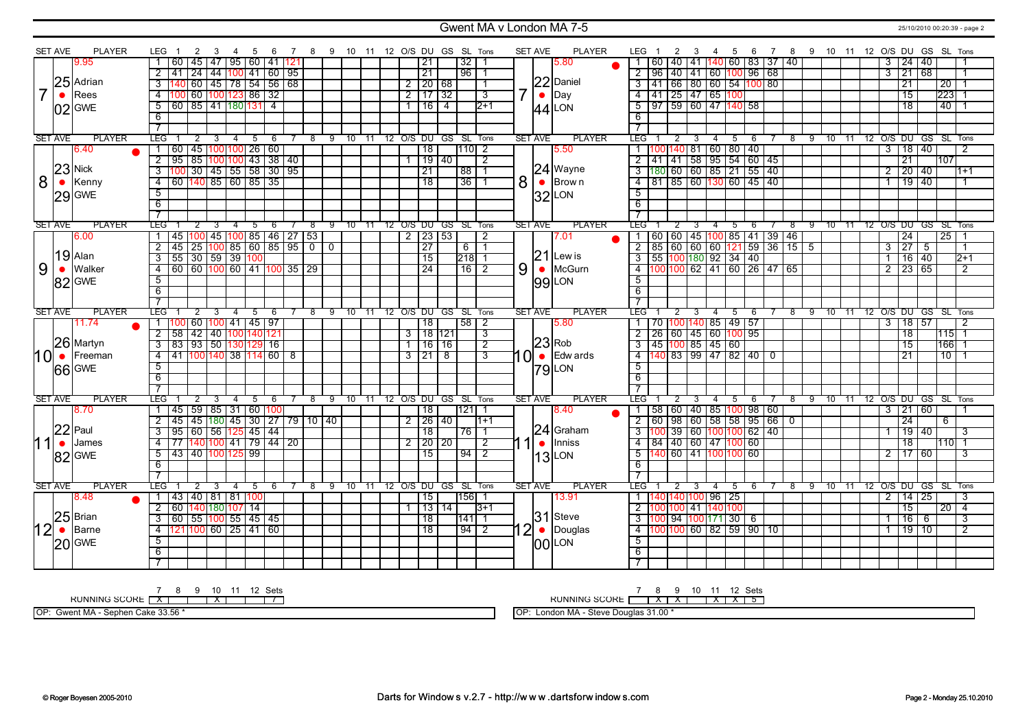#### Gwent MA v London MA 7-5 25/10/2010 00:20:39 - page 2

|                | <b>SET AVE</b> | <b>PLAYER</b> | LEG<br>-3<br>- 4                                                                           | 5<br>- 6                     | 7 8 9 10 11 12 O/S DU GS SL Tons |                              |                                |       |                         | <b>SET AVE</b>            | <b>PLAYER</b> | LEG 1<br>2<br>4 5<br>- 3                                        | 6                  |                                 | 7 8 9 10 11 12 O/S DU GS SL Tons                            |
|----------------|----------------|---------------|--------------------------------------------------------------------------------------------|------------------------------|----------------------------------|------------------------------|--------------------------------|-------|-------------------------|---------------------------|---------------|-----------------------------------------------------------------|--------------------|---------------------------------|-------------------------------------------------------------|
|                |                | 9.95          | 60                                                                                         | 45   47   95   60   41   121 |                                  |                              | 21                             |       | 32                      |                           | 5.80          | 60   40   41   140   60   83   37   40                          |                    |                                 | 24 40<br>3                                                  |
|                |                |               | $\overline{2}$<br>41                                                                       | 24 44 100 41 60 95           |                                  |                              | 21                             |       | 96   1                  |                           |               | $\overline{2}$<br>96 40 41 60 100 96 68                         |                    |                                 | $\frac{1}{21}$ 68<br>$\overline{3}$                         |
|                |                | 25 Adrian     | $\overline{3}$                                                                             | 60 45 78 54 56 68            |                                  |                              | $\sqrt{20}$ 68<br>$\mathbf{2}$ |       |                         |                           | 22 Daniel     | 41   66   80   60   54 <mark> 100</mark>   80<br>$\overline{3}$ |                    |                                 | 21<br>20                                                    |
| $\overline{7}$ | $\bullet$      | Rees          | 100 60 100 123 86 32<br>$\overline{4}$                                                     |                              |                                  |                              | $2 \mid 17 \mid 32$            |       | 7<br>$\overline{3}$     | $\bullet$                 | Day           | $\frac{1}{41}$ 25 47 65 100<br>$\overline{4}$                   |                    |                                 | 223<br>$\overline{15}$                                      |
|                |                |               |                                                                                            |                              |                                  |                              |                                |       |                         |                           |               |                                                                 |                    |                                 | 18                                                          |
|                |                | $02$ GWE      | $\boxed{60}$ $\boxed{85}$ $\boxed{41}$ $\boxed{180}$ $\boxed{131}$ $\boxed{4}$<br>5        |                              |                                  |                              | 16 4                           |       | $\overline{2+1}$        |                           | $44$ LON      | 197 59 60 47 140 58<br>5                                        |                    |                                 | 40                                                          |
|                |                |               | 6                                                                                          |                              |                                  |                              |                                |       |                         |                           |               | 6                                                               |                    |                                 |                                                             |
|                |                |               | $\overline{7}$                                                                             |                              |                                  |                              |                                |       |                         |                           |               |                                                                 |                    |                                 |                                                             |
|                | <b>SET AVE</b> | <b>PLAYER</b> | <b>LEG</b><br>2<br>3<br>$\overline{4}$                                                     | 5<br>- 6                     | 8 9 10 11 12 O/S DU GS SL Tons   |                              |                                |       |                         | <b>SET AVE</b>            | <b>PLAYER</b> | LEG<br>2<br>3<br>4                                              | 5<br>- 6           |                                 | 8 9 10 11 12 O/S DU GS SL Tons                              |
|                |                | 6.40          | 45  100 100  26   60<br>60                                                                 |                              |                                  |                              | $\overline{18}$                |       | 111012                  |                           | 5.50          | 00 140 81 60 80 40<br>$\overline{1}$                            |                    |                                 | 18 40<br>$\overline{3}$                                     |
|                |                | $23$ Nick     | $\overline{2}$<br>$\boxed{95}$ 85 100 100 43 38 40                                         |                              |                                  |                              | $\sqrt{19}$ 40                 |       | $\overline{2}$          |                           |               | $2  41 41  58   95   54   60   45$                              |                    |                                 | $\overline{21}$<br>107                                      |
|                |                |               | $\frac{100}{30}$ 30 $\frac{145}{55}$ 55 $\frac{1}{30}$ 30 $\frac{1}{95}$<br>$\overline{3}$ |                              |                                  |                              | $\overline{21}$                |       | 88 1                    |                           | $24$ Wayne    | 3 180 60 60 85 21 55 40                                         |                    |                                 | 20 40<br>$\overline{2}$<br>$1+1$                            |
| 8              | $\bullet$      | Kenny         | 60   140   85   60   85   35<br>$-4$                                                       |                              |                                  |                              | $\overline{18}$                |       | 36 1                    | 8<br>$\bullet$            | Brow n        | 4 81 85 60 130 60 45 40                                         |                    |                                 | 19 40<br>$\overline{1}$<br>-1                               |
|                |                | $29$ GWE      | $\overline{5}$                                                                             |                              |                                  |                              |                                |       |                         |                           | $32$ LON      | $\overline{5}$                                                  |                    |                                 |                                                             |
|                |                |               | 6                                                                                          |                              |                                  |                              |                                |       |                         |                           |               | $\overline{6}$                                                  |                    |                                 |                                                             |
|                |                |               | $\overline{\tau}$                                                                          |                              |                                  |                              |                                |       |                         |                           |               |                                                                 |                    |                                 |                                                             |
|                | <b>SET AVE</b> | <b>PLAYER</b> | <b>LEG</b><br>$\overline{4}$                                                               | -5<br>-6                     | -8                               | 9 10 11 12 0/S DU GS SL Tons |                                |       |                         | <b>SET AVE</b>            | <b>PLAYER</b> | <b>LEG</b>                                                      | -5<br>-6           | 8<br>-9                         | 10 11 12 0/S DU GS SL Tons                                  |
|                |                | 6.00          | 45   100   45   100   85   46   27   53                                                    |                              |                                  |                              | $2$   23   53                  |       | $\overline{2}$          |                           | 7.01          | 1   60   60   45   100   85   41   39   46                      |                    |                                 | $\overline{24}$<br>2511                                     |
|                |                |               | $2  45   25   100   85   60   85   95   0 0$                                               |                              |                                  |                              | $\overline{27}$                |       | $6 \mid 1$              |                           |               | $2   85   60   60   60   121   59   36   15   5$                |                    |                                 | $\overline{27}$<br>$\overline{3}$<br>$-5$<br>$\overline{1}$ |
|                |                | $19$ Alan     | 55 30 59 39 100<br>$\overline{\overline{\mathbf{3}}}$                                      |                              |                                  |                              | 15                             |       | $\overline{218}$ 1      |                           | $21$ Lew is   |                                                                 |                    |                                 | $16 \ 40$<br>$\overline{2+1}$<br>$\overline{1}$             |
| 9              | $\bullet$      | Walker        | <u>60 60 100 60 141 100 35 29</u><br>$\overline{4}$                                        |                              |                                  |                              | $\overline{24}$                |       | 16 2                    | 9<br>$\bullet$            | McGurn        | 4 100 100 62 41 60 26 47 65                                     |                    |                                 | $\frac{1}{23}$ 65<br>$\overline{2}$<br>$\overline{2}$       |
|                |                | 82 GWE        | $\overline{5}$                                                                             |                              |                                  |                              |                                |       |                         |                           | 99 LON        | $\overline{5}$                                                  |                    |                                 |                                                             |
|                |                |               | 6                                                                                          |                              |                                  |                              |                                |       |                         |                           |               | 6                                                               |                    |                                 |                                                             |
|                |                |               | $\overline{7}$                                                                             |                              |                                  |                              |                                |       |                         |                           |               |                                                                 |                    |                                 |                                                             |
|                | <b>SET AVE</b> | <b>PLAYER</b> | <b>LEG</b>                                                                                 | 5<br>6                       | ு<br>10<br>$^{\circ}$            | 11                           | 12 O/S DU GS SL Tons           |       |                         | <b>SET AVE</b>            | <b>PLAYER</b> | LEG <sup>-</sup>                                                | $5^{\circ}$<br>-6  | $^8$<br>-9<br>$10^{-}$<br>$-11$ | 12 O/S DU GS SL Tons                                        |
|                |                | 11.74         | 60 100 41 45 97<br>100                                                                     |                              |                                  |                              | $\overline{18}$                |       | 58 2                    |                           | 5.80          | 70  100 140  85   49   57<br>1 I                                |                    |                                 | 3   18   57<br>$\overline{2}$                               |
|                |                | 26 Martyn     | $\overline{2}$<br>58 42 40 100 140 121                                                     |                              |                                  |                              | $3$ 18 121                     |       | $\overline{\mathbf{3}}$ |                           | $23$ Rob      | 26   60   45   60   100   95<br>$\overline{2}$                  |                    |                                 | $\overline{18}$<br>$115$ 1                                  |
|                |                |               | 83 93 50 130 129 16<br>$\overline{3}$                                                      |                              |                                  |                              |                                | 16 16 | $\overline{2}$          |                           |               | 145 100 85 45 60<br>$\overline{3}$                              |                    |                                 | $\overline{15}$<br>166                                      |
|                | $10 \bullet$   | Freeman       | 41 100 140 38 114 60 8<br>$\overline{4}$                                                   |                              |                                  |                              | $\overline{3}$<br>$\sqrt{218}$ |       | 3                       | 1 OI<br>$\bullet$         | Edw ards      | 4 140 83 99 47 82 40 0                                          |                    |                                 | $\overline{21}$<br>10                                       |
|                |                | 66 GWE        | $\overline{5}$                                                                             |                              |                                  |                              |                                |       |                         |                           | $ 79 $ LON    | $\overline{5}$                                                  |                    |                                 |                                                             |
|                |                |               | 6                                                                                          |                              |                                  |                              |                                |       |                         |                           |               | 6                                                               |                    |                                 |                                                             |
|                |                |               | $\overline{7}$                                                                             |                              |                                  |                              |                                |       |                         |                           |               |                                                                 |                    |                                 |                                                             |
|                | <b>SET AVE</b> | <b>PLAYER</b> | LEG.<br>-4                                                                                 | 5<br>-6                      | 10<br>8<br>9                     | $-11$                        | 12 O/S DU GS SL Tons           |       |                         | <b>SET AVE</b>            | <b>PLAYER</b> | LEG<br>4                                                        | 5<br>6             | 9 10<br>- 11<br>8               | 12 O/S DU GS SL Tons                                        |
|                |                | 8.70          | 59   85   31   60   100<br>45                                                              |                              |                                  |                              | 18                             |       | 121                     |                           | 8.40          | 58 60 40 85 100 98 60                                           |                    |                                 | 21 60<br>3<br>24                                            |
|                |                | $22$ Paul     | 45 45 180 45 30 27 79 10 40<br>$\overline{2}$                                              |                              |                                  |                              | 2                              | 26 40 | $11 + 1$                |                           | $24$ Graham   | 2   60   98   60   58   58   95   66                            | 0                  |                                 | 6                                                           |
|                |                |               | 95 60 56 125 45 44<br>$\overline{3}$                                                       |                              |                                  |                              | 18                             |       | $76$   1                |                           |               |                                                                 |                    |                                 | 19 40<br>3<br>$\mathbf{1}$                                  |
|                | $\bullet$      | James         | 77 140 100 41 79 44 20<br>$\overline{4}$                                                   |                              |                                  |                              | 20 20<br>$\overline{2}$        |       | $\overline{2}$          | $\bullet$                 | Inniss        | <u>84 40 60 47 100 60</u><br>$\overline{4}$                     |                    |                                 | 18<br>$110$   1                                             |
|                |                | 82 GWE        | 43 40 100 125 99<br>$5^{\circ}$                                                            |                              |                                  |                              | 15                             |       | 19412                   |                           | $13$ LON      | 5 140 60 41 100 100 60                                          |                    |                                 | 2 17 60<br>3                                                |
|                |                |               | 6                                                                                          |                              |                                  |                              |                                |       |                         |                           |               | - 6                                                             |                    |                                 |                                                             |
|                |                |               | $\overline{7}$                                                                             |                              |                                  |                              |                                |       |                         |                           |               | $\overline{7}$                                                  |                    |                                 |                                                             |
|                | <b>SET AVE</b> | <b>PLAYER</b> | LEG <sup>-</sup><br>$\overline{4}$<br>2<br>3                                               | 5<br>6                       | -8                               | 9 10 11                      | 12 O/S DU GS SL Tons           |       |                         | <b>SET AVE</b>            | <b>PLAYER</b> | LEG <sup>-</sup><br>$\overline{4}$<br>3                         | $5^{\circ}$<br>- 6 | 9<br>10<br>8                    | 11 12 O/S DU GS SL Tons                                     |
|                |                | 8.48          | 43 40 81 81 100                                                                            |                              |                                  |                              | 15                             |       | $ 156 $ 1               |                           | 13.91         | 40  140  100  96   25<br>-1 F                                   |                    |                                 | 14 25<br>$\mathbf{2}$<br>3                                  |
|                |                | $25$ Brian    | 60 140 180 107 14<br>$\overline{2}$                                                        |                              |                                  |                              |                                | 13 14 | $\overline{3+1}$        |                           | $31$ Steve    | $\overline{2}$<br><u> 100 100   41   140 100</u>                |                    |                                 | $\overline{15}$<br>$20 \mid 4$                              |
|                |                |               | $\overline{60}$ 55 100 55 45 45<br>$\overline{3}$                                          |                              |                                  |                              | $\overline{18}$                |       | 141  1                  |                           |               | $\frac{100}{94}$ 100 171 30 6<br>$\overline{\mathbf{3}}$        |                    |                                 | 16<br>3<br>$\mathbf{1}$<br>6                                |
|                | $12$ $\bullet$ | Barne         | 121 100 60 25 41 60<br>$\overline{4}$                                                      |                              |                                  |                              | $\overline{18}$                |       | $\sqrt{94}$ 2           | $\mathbf{2}$<br>$\bullet$ | Douglas       | $\overline{00}$ 100 60 82 59 90 10<br>$\overline{4}$            |                    |                                 | 19 10<br>$\overline{2}$                                     |
|                |                | $20$ GWE      | $\overline{5}$                                                                             |                              |                                  |                              |                                |       |                         |                           | 00 LON        | $\overline{5}$                                                  |                    |                                 |                                                             |
|                |                |               |                                                                                            |                              |                                  |                              |                                |       |                         |                           |               | 6                                                               |                    |                                 |                                                             |
|                |                |               | 6                                                                                          |                              |                                  |                              |                                |       |                         |                           |               |                                                                 |                    |                                 |                                                             |
|                |                |               | $\overline{\tau}$                                                                          |                              |                                  |                              |                                |       |                         |                           |               |                                                                 |                    |                                 |                                                             |

RUNNING SCORE 7 X 8 9 10 X 11 12 Sets 7

OP: Gwent MA - Sephen Cake 33.56 \*

RUNNING SCORE 7 8 X 9 X 10 11 X 12 X Sets 5

OP: London MA - Steve Douglas 31.00 \*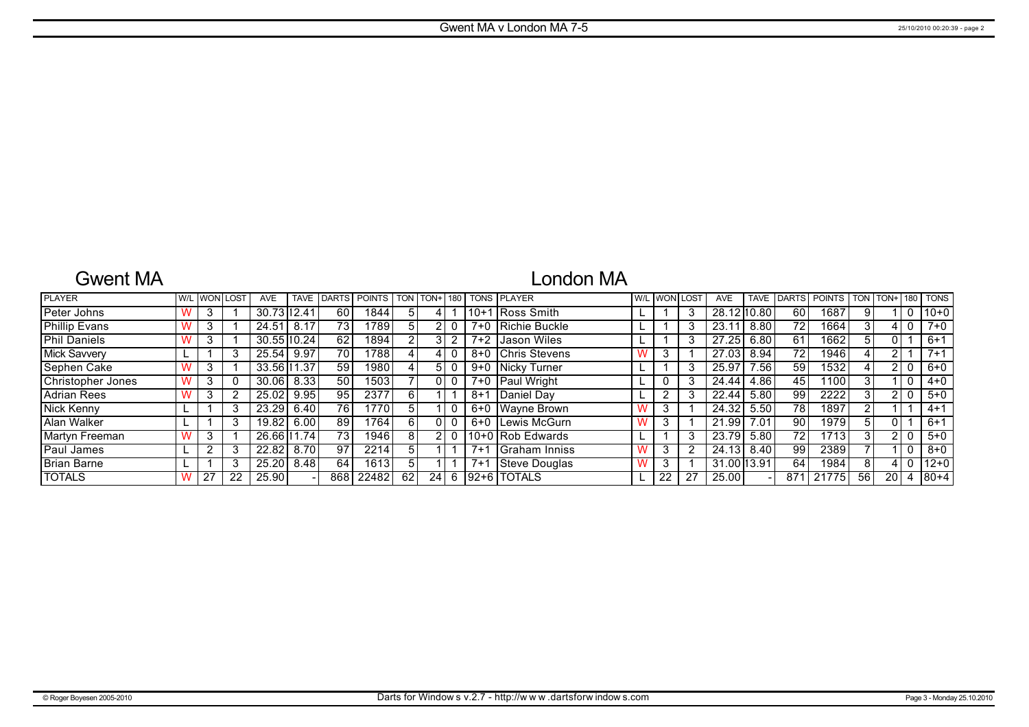## Gwent MA

# London MA

| <b>PLAYER</b>       |     | <b>W/L WON LOST</b> | <b>AVE</b>  | <b>TAVE</b> | <b>DARTS</b>    | <b>POINTS</b>     | TON            | l TON+l | 180 |         | <b>TONS PLAYER</b> |   | W/L WON I | LOST | <b>AVE</b>     | <b>TAVE</b> | <b>DARTS</b>    | <b>POINTS</b> | <b>TON</b> | TON+ | 180 | <b>TONS</b> |
|---------------------|-----|---------------------|-------------|-------------|-----------------|-------------------|----------------|---------|-----|---------|--------------------|---|-----------|------|----------------|-------------|-----------------|---------------|------------|------|-----|-------------|
| Peter Johns         |     |                     | 30.7312.41  |             | 60              | 1844              | 5.             |         |     | 110+1   | 1 Ross Smith       |   |           | 3    | 28.12 10.80    |             | 60              | 1687          |            |      |     | $10+0$      |
| Phillip Evans       | -3  |                     | 24.51       | 8.17        | 73 <sub>1</sub> | 1789              | 5.             |         |     | 7+0     | Richie Buckle      |   |           | 3    | $23.1^{\circ}$ | 8.80        | 72 <sub>1</sub> | 1664          |            |      |     | $7+0$       |
| <b>Phil Daniels</b> | 3   |                     | 30.55 10.24 |             | 62              | 1894              | 2              |         |     | $7+2$   | Jason Wiles        |   |           | 3    | 27.25          | 6.80        | 61              | 1662          |            |      |     | $6+1$       |
| <b>Mick Savvery</b> |     |                     | 25.54       | 9.97        | 70              | 1788              |                |         |     |         | 8+0 Chris Stevens  |   | ົ<br>J.   |      | 27.03          | 8.94        | 72 <sub>1</sub> | 1946          | 4          |      |     | $7 + 1$     |
| Sephen Cake         |     |                     | 33.56 11.37 |             | 59              | 1980              |                | 5.      |     | $9 + 0$ | Nicky Turner       |   |           | 3    | 25.97          | 7.56        | 59              | 1532          |            |      |     | $6 + 0$     |
| Christopher Jones   | -3  |                     | 30.06       | 8.33        | 50              | 1503              |                |         |     |         | 7+0   Paul Wright  |   | 0         | 3    | 24.44          | 4.86        | 45              | 1100          | 3          |      |     | $4 + 0$     |
| <b>Adrian Rees</b>  | 3   |                     | 25.02       | 9.95        | 95              | 2377              | 6 I            |         |     | $8 + 1$ | <b>Daniel Dav</b>  |   | າ         | 3    | 22.44          | 5.80        | 99              | 2222          |            |      |     | $5 + 0$     |
| <b>Nick Kenny</b>   |     |                     | 23.29       | 6.40        | 76              | 1770 <sub>1</sub> | 51             |         |     | 6+0     | Wayne Brown        |   | 3         |      | 24.32          | 5.50        | 78              | 1897          |            |      |     | $4 + 1$     |
| Alan Walker         |     |                     | 19.82       | 6.00        | 89              | 1764              | 61             |         |     |         | 6+0 Lewis McGurn   |   | 3         |      | 21.99          | 7.01        | 90              | 1979          |            |      |     | $6+1$       |
| Martyn Freeman      | 3   |                     | 26.66 11.74 |             | 73 <sub>1</sub> | 19461             | 81             |         |     |         | 110+0 Rob Edwards  |   |           | 3    | 23.79          | 5.80        | 72 <sub>1</sub> | 1713          |            |      |     | $5+0$       |
| Paul James          |     |                     | 22.82       | 8.70        | 97              | 2214              | 51             |         |     | $7 + 1$ | Graham Inniss      |   | 3         | 2    | 24.13          | 8.40        | 99              | 2389          |            |      |     | $8 + 0$     |
| <b>Brian Barne</b>  |     |                     | 25.20       | 8.48        | 64              | 1613              | 5 <sup>1</sup> |         |     | $7 + 1$ | Steve Douglas      | w | 3         |      | 31.00 13.91    |             | 64              | 1984          | 8          |      |     | $ 12+0 $    |
| <b>TOTALS</b>       | -27 | 22                  | 25.90       |             | 868             | 22482             | 62             | 24      | 6   |         | 192+6 TOTALS       |   | 22        | 27   | 25.00          |             | 871             | 21775         | 56         | 20   |     | $180 + 4$   |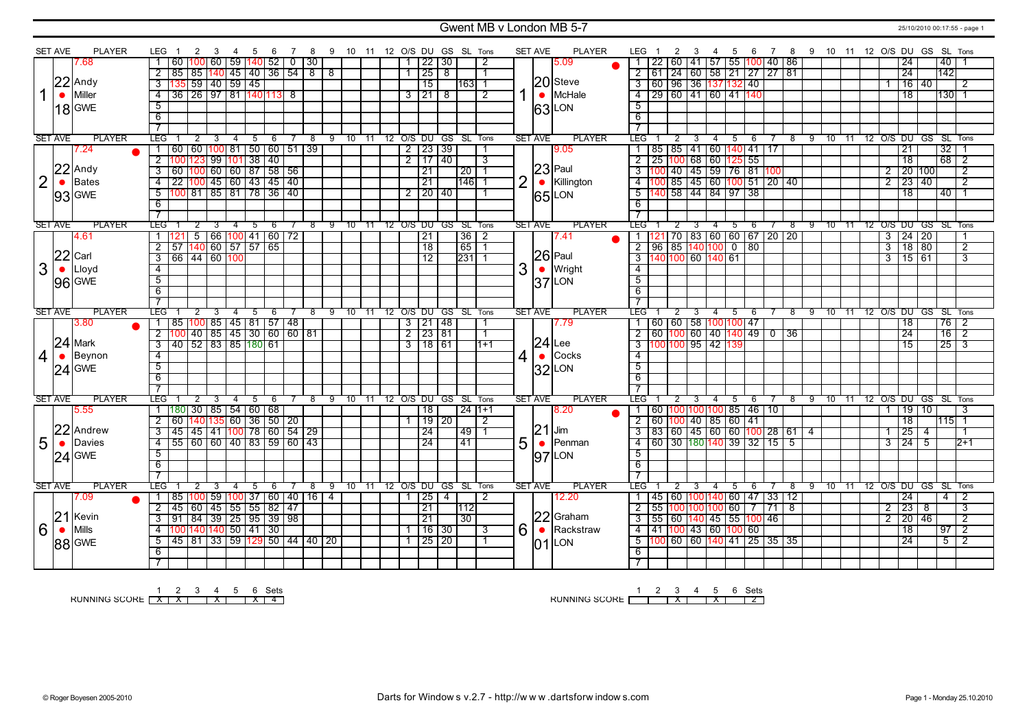### Gwent MB v London MB 5-7 25/10/2010 00:17:55 - page 1

|                |                | <b>PLAYER</b> | LEG.                    | 2<br>$\overline{1}$                                                                              | 3                 | 4              | - 5 | - 6 | 78          |                | 9 10 11 12 O/S DU GS SL Tons |       |                |                     |                |                      |                         |                | <b>SET AVE</b> | <b>PLAYER</b> | LEG                                            | 2              | 3 | 4              | 5   | -6                                          |     |     |     | 7 8 9 10 11 12 O/S DU GS SL Tons |       |  |                         |                   |                            |                 |                |
|----------------|----------------|---------------|-------------------------|--------------------------------------------------------------------------------------------------|-------------------|----------------|-----|-----|-------------|----------------|------------------------------|-------|----------------|---------------------|----------------|----------------------|-------------------------|----------------|----------------|---------------|------------------------------------------------|----------------|---|----------------|-----|---------------------------------------------|-----|-----|-----|----------------------------------|-------|--|-------------------------|-------------------|----------------------------|-----------------|----------------|
|                | <b>SET AVE</b> | 7.68          |                         | 60 100 60 59 140 52                                                                              |                   |                |     |     | $0 \mid 30$ |                |                              |       | $\mathbf{1}$   | 22 30               |                |                      | -2                      |                |                | 5.09          | 1   22                                         |                |   |                |     | 60   41   57   55  100   40   86            |     |     |     |                                  |       |  |                         | $\overline{24}$   |                            | 40              |                |
|                |                |               | $\overline{2}$          | 85 85 140 45 40 36 54 8                                                                          |                   |                |     |     |             | $\overline{8}$ |                              |       | $\mathbf{1}$   | $\overline{25}$     | $^{\circ}$     |                      | -1                      |                |                |               |                                                |                |   |                |     | 2 61 24 60 58 21 27 27 81                   |     |     |     |                                  |       |  |                         | 24                |                            | 142             |                |
|                |                | $22$ Andy     | $\overline{\mathbf{3}}$ |                                                                                                  | 59 40 59 45       |                |     |     |             |                |                              |       |                | $\overline{15}$     |                | 1631                 |                         |                |                | 20 Steve      |                                                |                |   |                |     | 3 60 96 36 137 132 40                       |     |     |     |                                  |       |  |                         | $\overline{16}$   | 40                         |                 | 2              |
| 1              | $\bullet$      | Miller        | $\overline{4}$          | 36 26 97 81 140 13 8                                                                             |                   |                |     |     |             |                |                              |       |                | 31218               |                |                      | $\overline{2}$          |                | $\bullet$      | McHale        |                                                |                |   |                |     | 4 29 60 41 60 41 140                        |     |     |     |                                  |       |  |                         | $\overline{18}$   |                            | 130 1           |                |
|                |                |               |                         |                                                                                                  |                   |                |     |     |             |                |                              |       |                |                     |                |                      |                         |                |                |               |                                                |                |   |                |     |                                             |     |     |     |                                  |       |  |                         |                   |                            |                 |                |
|                |                | $18$ GWE      | $\overline{5}$          |                                                                                                  |                   |                |     |     |             |                |                              |       |                |                     |                |                      |                         |                |                | 63LON         | 5                                              |                |   |                |     |                                             |     |     |     |                                  |       |  |                         |                   |                            |                 |                |
|                |                |               | $\overline{6}$          |                                                                                                  |                   |                |     |     |             |                |                              |       |                |                     |                |                      |                         |                |                |               | 6                                              |                |   |                |     |                                             |     |     |     |                                  |       |  |                         |                   |                            |                 |                |
|                |                |               | $\overline{7}$          |                                                                                                  |                   |                |     |     |             |                |                              |       |                |                     |                |                      |                         |                |                |               | $\overline{\tau}$                              |                |   |                |     |                                             |     |     |     |                                  |       |  |                         |                   |                            |                 |                |
|                | <b>SET AVE</b> | <b>PLAYER</b> | <b>LEG</b>              |                                                                                                  | 3                 | $\overline{4}$ | 5   | 6   |             | 9              | 10                           | 11    |                |                     |                | 12 O/S DU GS SL Tons |                         |                | <b>SET AVE</b> | <b>PLAYER</b> | LEG <sup>-</sup>                               |                |   |                | 5   | 6                                           |     | 8   | 9   | 10                               | $-11$ |  |                         |                   | 12 O/S DU GS SL Tons       |                 |                |
|                |                | 7.24          |                         | 60 60 100 81 50 60 51 39                                                                         |                   |                |     |     |             |                |                              |       |                | $2$   23   39       |                |                      |                         |                |                | 9.05          |                                                |                |   |                |     | 1   85   85   41   60   140   41   17       |     |     |     |                                  |       |  |                         | $\overline{21}$   |                            | $\overline{32}$ |                |
|                |                |               | $\overline{2}$          |                                                                                                  |                   |                |     |     |             |                |                              |       | $\overline{2}$ | 17140               |                |                      | $\overline{\mathbf{3}}$ |                |                |               |                                                |                |   |                |     | $2$   25   100   68   60   125   55         |     |     |     |                                  |       |  |                         | $\overline{18}$   |                            | 68              | $\overline{2}$ |
|                | 22             | Andy          | $\overline{3}$          |                                                                                                  |                   |                |     |     |             |                |                              |       |                | $\overline{21}$     |                | $\sqrt{20}$ 1        |                         |                |                | $ 23 $ Paul   |                                                |                |   |                |     | 3 100 40 45 59 76 81 100                    |     |     |     |                                  |       |  | $\overline{2}$          |                   | 20 100                     |                 | $\overline{2}$ |
| $\overline{2}$ | $\bullet$      | <b>Bates</b>  | $\overline{4}$          |                                                                                                  |                   |                |     |     |             |                |                              |       |                | $\overline{21}$     |                | 146                  |                         | $\overline{2}$ | $\bullet$      | Killington    |                                                |                |   |                |     | $\frac{1}{4}$ 100 85 45 60 100 51 20 40     |     |     |     |                                  |       |  | $\overline{2}$          | $\frac{1}{23}$ 40 |                            |                 | $\overline{2}$ |
|                |                | 93 GWE        | $\overline{5}$          | 100 123 99 101 38 40<br>100 100 60 60 87 58 56<br>22 100 45 60 43 45 40<br>100 81 85 81 78 36 40 |                   |                |     |     |             |                |                              |       |                | $2$   20   40       |                |                      |                         |                |                | 65LON         |                                                |                |   |                |     | $\overline{5}$ 140 58 44 84 97 38           |     |     |     |                                  |       |  |                         | $\overline{18}$   |                            | $40$ 1          |                |
|                |                |               | 6                       |                                                                                                  |                   |                |     |     |             |                |                              |       |                |                     |                |                      |                         |                |                |               | 6                                              |                |   |                |     |                                             |     |     |     |                                  |       |  |                         |                   |                            |                 |                |
|                |                |               | $\overline{\tau}$       |                                                                                                  |                   |                |     |     |             |                |                              |       |                |                     |                |                      |                         |                |                |               |                                                |                |   |                |     |                                             |     |     |     |                                  |       |  |                         |                   |                            |                 |                |
|                | <b>SET AVE</b> | <b>PLAYER</b> | <b>LEG</b>              | $^{2}$                                                                                           |                   |                | 5   | 6   | 8           | -9             | $10^{-}$                     | -11   |                |                     |                | 12 O/S DU GS SL Tons |                         |                | <b>SET AVE</b> | <b>PLAYER</b> | LEG"                                           |                |   |                | 5   | 6                                           |     | -8  | -9  | -10                              | $-11$ |  |                         |                   | 12 O/S DU GS SL Tons       |                 |                |
|                |                | 4.61          |                         | 121                                                                                              | 5 66 100 41 60 72 |                |     |     |             |                |                              |       |                | $\overline{21}$     |                | $\overline{36}$   2  |                         |                |                | 7.41          |                                                |                |   |                |     | 1   121   70   83   60   60   67   20   20  |     |     |     |                                  |       |  | $\overline{\mathbf{3}}$ | 24 20             |                            |                 | -1             |
|                |                |               | $\overline{2}$          | 57                                                                                               | $140$ 60 57 57 65 |                |     |     |             |                |                              |       |                | $\overline{18}$     |                | $65$ 1               |                         |                |                |               |                                                |                |   |                |     | $2$ 96 85 140 100 0 80                      |     |     |     |                                  |       |  | $\overline{3}$          | 18 80             |                            |                 | $\overline{2}$ |
|                | 22             | Carl          | $\overline{3}$          | 66 44 60 100                                                                                     |                   |                |     |     |             |                |                              |       |                | $\overline{12}$     |                | $\overline{231}$ 1   |                         |                |                | $ 26 $ Paul   | $3  140  100   60   140   61$                  |                |   |                |     |                                             |     |     |     |                                  |       |  | $\overline{3}$          | 15 61             |                            |                 | 3              |
| 3              | $\bullet$      | Lloyd         | $\overline{4}$          |                                                                                                  |                   |                |     |     |             |                |                              |       |                |                     |                |                      |                         | 3              | $\bullet$      | <b>Wright</b> | $\overline{4}$                                 |                |   |                |     |                                             |     |     |     |                                  |       |  |                         |                   |                            |                 |                |
|                |                | 96 GWE        | $\overline{5}$          |                                                                                                  |                   |                |     |     |             |                |                              |       |                |                     |                |                      |                         |                |                | $ 37 $ LON    | $\overline{5}$                                 |                |   |                |     |                                             |     |     |     |                                  |       |  |                         |                   |                            |                 |                |
|                |                |               | $\overline{6}$          |                                                                                                  |                   |                |     |     |             |                |                              |       |                |                     |                |                      |                         |                |                |               | $\overline{6}$                                 |                |   |                |     |                                             |     |     |     |                                  |       |  |                         |                   |                            |                 |                |
|                |                |               | $\overline{\tau}$       |                                                                                                  |                   |                |     |     |             |                |                              |       |                |                     |                |                      |                         |                |                |               | $\overline{7}$                                 |                |   |                |     |                                             |     |     |     |                                  |       |  |                         |                   |                            |                 |                |
| <b>SET AVE</b> |                | <b>PLAYER</b> | <b>LEG</b>              | 2                                                                                                |                   |                |     |     | 8           | -9             | $10^{-}$                     | $-11$ |                |                     |                | 12 O/S DU GS SL Tons |                         |                | <b>SET AVE</b> | <b>PLAYER</b> | LEG <sup>-</sup>                               | $\overline{2}$ |   | $\overline{4}$ | 5   | 6                                           |     | 8   | - 9 |                                  |       |  |                         |                   | 10 11 12 0/S DU GS SL Tons |                 |                |
|                |                | 3.80          | $\overline{1}$          | 85   100   85   45   81   57   48  <br>  100   40   85   45   30   60   60   81                  |                   |                |     |     |             |                |                              |       |                | 3   21   48         |                |                      | $\mathbf{1}$            |                |                | 7.79          |                                                |                |   |                |     | 1   60   60   58   100   100   47           |     |     |     |                                  |       |  |                         | $\overline{18}$   |                            | $76$   2        |                |
|                |                |               | $\overline{2}$          |                                                                                                  |                   |                |     |     |             |                |                              |       |                | $\frac{2}{2}$ 23 81 |                |                      | $\overline{1}$          |                |                |               |                                                |                |   |                |     | $2$ 60 100 60 40 140 49 0 36                |     |     |     |                                  |       |  |                         | 24                |                            | 16              | $\overline{2}$ |
|                |                |               |                         |                                                                                                  |                   |                |     |     |             |                |                              |       |                |                     |                |                      |                         |                |                |               |                                                |                |   |                |     |                                             |     |     |     |                                  |       |  |                         | $\overline{15}$   |                            | 25              | $\sqrt{3}$     |
| $\overline{4}$ |                | $24$ Mark     | $\overline{3}$          | 40 52 83 85 180 61                                                                               |                   |                |     |     |             |                |                              |       |                | $3$ 18 61           |                |                      | $1 + 1$                 |                |                | $ 24 $ Lee    | $3 \mid 100 \mid 100 \mid 95 \mid 42 \mid 139$ |                |   |                |     |                                             |     |     |     |                                  |       |  |                         |                   |                            |                 |                |
|                | $\bullet$      | Beynon        | $\overline{4}$          |                                                                                                  |                   |                |     |     |             |                |                              |       |                |                     |                |                      |                         |                | $\bullet$      | Cocks         | $\overline{4}$                                 |                |   |                |     |                                             |     |     |     |                                  |       |  |                         |                   |                            |                 |                |
|                |                |               | $\overline{5}$          |                                                                                                  |                   |                |     |     |             |                |                              |       |                |                     |                |                      |                         | 4              |                |               | $\overline{5}$                                 |                |   |                |     |                                             |     |     |     |                                  |       |  |                         |                   |                            |                 |                |
|                |                | $24$ GWE      | 6                       |                                                                                                  |                   |                |     |     |             |                |                              |       |                |                     |                |                      |                         |                |                | $ 32 $ LON    | 6                                              |                |   |                |     |                                             |     |     |     |                                  |       |  |                         |                   |                            |                 |                |
|                |                |               | $\overline{7}$          |                                                                                                  |                   |                |     |     |             |                |                              |       |                |                     |                |                      |                         |                |                |               |                                                |                |   |                |     |                                             |     |     |     |                                  |       |  |                         |                   |                            |                 |                |
|                | <b>SET AVE</b> | <b>PLAYER</b> | <b>LEG</b>              |                                                                                                  | 3                 | 4              | 5   | -6  | 8           | 9              | 10                           | 11    |                |                     |                | 12 O/S DU GS SL Tons |                         |                | <b>SET AVE</b> | <b>PLAYER</b> | LEG <sup>-</sup>                               | 2              |   |                | 5   | 6                                           |     | 8   | -9  | 10                               | $-11$ |  |                         |                   | 12 O/S DU GS SL Tons       |                 |                |
|                |                | 5.55          |                         | 1   180   30   85   54   60   68                                                                 |                   |                |     |     |             |                |                              |       |                | 18                  |                | 24   1+1             |                         |                |                | 8.20          |                                                |                |   |                |     | 1   60   100   100   100   85   46   10     |     |     |     |                                  |       |  | $\mathbf{1}$            | 19 10             |                            |                 | 3              |
|                |                |               | $\overline{2}$          | 60  140 135  60   36   50   20                                                                   |                   |                |     |     |             |                |                              |       |                | 19 20               |                |                      | $\overline{2}$          |                |                |               |                                                |                |   |                |     | 2   60   100   40   85   60   41            |     |     |     |                                  |       |  |                         | 18                |                            | 115 1           |                |
|                | 22             | Andrew        | 3                       | 45 45 41 100 78 60 54 29                                                                         |                   |                |     |     |             |                |                              |       |                | 24                  |                | 49                   | -1                      |                | 21             | Jim           |                                                |                |   |                |     | 3 83 60 45 60 60 100 28 61 4                |     |     |     |                                  |       |  | $\overline{1}$          | 25                | 4                          |                 |                |
|                | $\bullet$      | Davies        | $\overline{4}$          | 55 60 60 40 83 59 60 43                                                                          |                   |                |     |     |             |                |                              |       |                | 24                  |                | 41                   |                         |                | $\bullet$      | Penman        |                                                |                |   |                |     | 4 60 30 180 140 39 32 15 5                  |     |     |     |                                  |       |  | 3                       | 24                | 5                          |                 | $2+1$          |
| 5              |                |               | $\overline{5}$          |                                                                                                  |                   |                |     |     |             |                |                              |       |                |                     |                |                      |                         | 5              |                |               | 5                                              |                |   |                |     |                                             |     |     |     |                                  |       |  |                         |                   |                            |                 |                |
|                |                | $24$ GWE      | 6                       |                                                                                                  |                   |                |     |     |             |                |                              |       |                |                     |                |                      |                         |                |                | $ 97 $ LON    | $6\overline{6}$                                |                |   |                |     |                                             |     |     |     |                                  |       |  |                         |                   |                            |                 |                |
|                |                |               | $\overline{7}$          |                                                                                                  |                   |                |     |     |             |                |                              |       |                |                     |                |                      |                         |                |                |               |                                                |                |   |                |     |                                             |     |     |     |                                  |       |  |                         |                   |                            |                 |                |
|                | <b>SET AVE</b> | <b>PLAYER</b> | LEG                     | 2                                                                                                | 3                 | 4              | 5   | 6   | 8           | 9              | 10 11                        |       |                |                     |                | 12 O/S DU GS SL Tons |                         |                | <b>SET AVE</b> | <b>PLAYER</b> | LEG                                            | 2              | 3 | 4              | - 5 | -6                                          |     | 8   |     | 9 10 11 12 O/S DU GS SL Tons     |       |  |                         |                   |                            |                 |                |
|                |                | 7.09          |                         |                                                                                                  |                   |                |     |     | 16          | 4              |                              |       |                | $ 25\rangle$        | $\overline{4}$ |                      | $\overline{2}$          |                |                | 12.20         |                                                |                |   |                |     |                                             |     |     |     |                                  |       |  |                         | 24                |                            | 4               |                |
|                |                |               | $\overline{2}$          | 85  100  59  100  37   60   40                                                                   |                   |                |     |     |             |                |                              |       |                | 21                  |                | 112                  |                         |                |                |               | 2 55 100 100 100 60]                           |                |   |                |     | 1   45   60   100   140   60   47   33   12 | 171 | T 8 |     |                                  |       |  | 2                       | 23                | 8                          |                 | $\overline{3}$ |
|                |                | Kevin         | $\overline{3}$          | 45 60 45 55 55 82 47                                                                             |                   |                |     |     |             |                |                              |       |                | 21                  |                | $\overline{30}$      |                         |                |                | 22 Graham     |                                                |                |   |                |     |                                             |     |     |     |                                  |       |  | $\overline{2}$          | 20 46             |                            |                 | $\overline{2}$ |
|                | 21             | Mills         | $\overline{4}$          | 91   84   39   25   95   39   98                                                                 |                   |                |     |     |             |                |                              |       | $\mathbf{1}$   | $16$ 30             |                |                      | $\overline{\mathbf{3}}$ |                |                | Rackstraw     |                                                |                |   |                |     | $3   55   60   140   45   55   100   46$    |     |     |     |                                  |       |  |                         | 18                |                            | $\overline{97}$ | $\overline{2}$ |
| 6              | $\bullet$      |               | 5                       | 100 140 140 50 41 30                                                                             |                   |                |     |     |             |                |                              |       |                |                     |                |                      |                         | 6              | $\bullet$      |               |                                                |                |   |                |     | $-4$ $-11$ $100$ $43$ $-60$ $100$ $60$      |     |     |     |                                  |       |  |                         | 24                |                            | $\overline{5}$  | $\sqrt{2}$     |
|                |                | 88 GWE        | $\overline{6}$          | 45   81   33   59  129  50   44   40   20                                                        |                   |                |     |     |             |                |                              |       |                | $7$ 25 20           |                |                      |                         |                | lO1            | LON           | 6                                              |                |   |                |     | $\overline{5}$ 100 60 60 140 41 25 35 35    |     |     |     |                                  |       |  |                         |                   |                            |                 |                |

1 2 3 4 5 6 Sets<br>RUNNING SCORE <u>[X | X | | X | X | 4</u>

RUNNING SCORE 1 2 3 X 4 5 X 6 Sets 2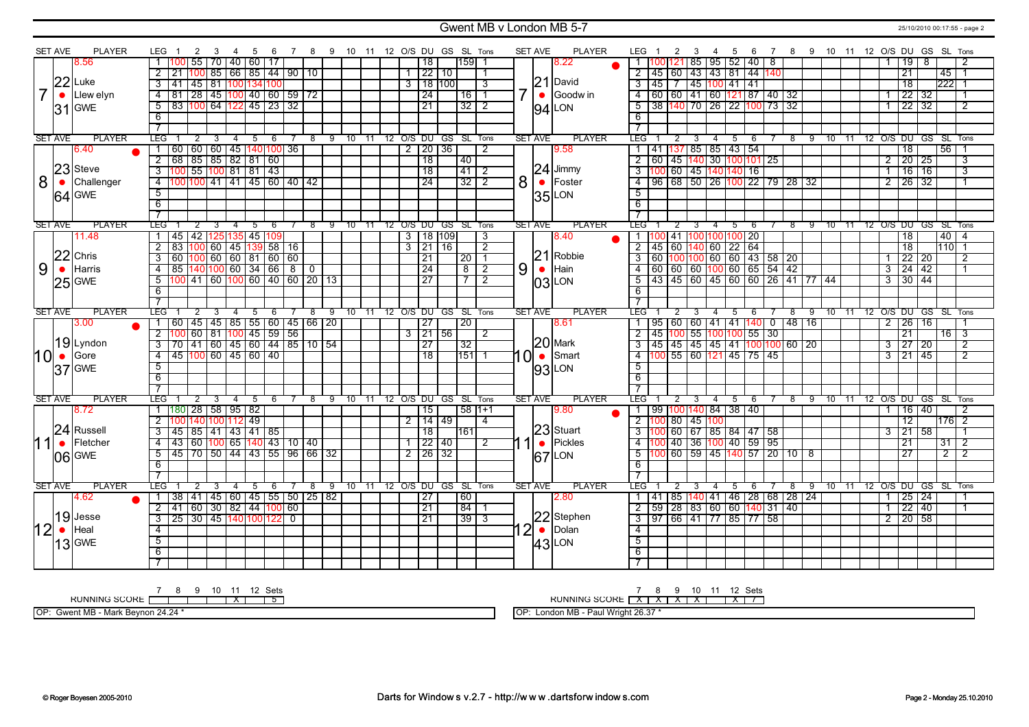### Gwent MB v London MB 5-7 25/10/2010 00:17:55 - page 2

| <b>SET AVE</b> |           | <b>PLAYER</b>     | LEG                                                                          | 2                                   | - 3            | 4 5            |                       |     |                |            | 6 7 8 9 10 11 12 O/S DU GS SL Tons |                            |  |                     |                   |                | <b>SET AVE</b> |           | <b>PLAYER</b>      | LEG 1                                                    | $\overline{2}$   | $\overline{\mathbf{3}}$ | 4 5            |                                                                                                                        | 6    |   | 7 8 9 10 11 12 O/S DU GS SL Tons |  |                                  |                     |                 |                |                |
|----------------|-----------|-------------------|------------------------------------------------------------------------------|-------------------------------------|----------------|----------------|-----------------------|-----|----------------|------------|------------------------------------|----------------------------|--|---------------------|-------------------|----------------|----------------|-----------|--------------------|----------------------------------------------------------|------------------|-------------------------|----------------|------------------------------------------------------------------------------------------------------------------------|------|---|----------------------------------|--|----------------------------------|---------------------|-----------------|----------------|----------------|
|                |           | 8.56              |                                                                              | 55 70                               |                |                | 40   60   17          |     |                |            |                                    |                            |  | 18                  | 11591             |                |                |           | 3.22               |                                                          |                  |                         |                | 1  100 121  85   95   52   40   8                                                                                      |      |   |                                  |  |                                  | 19                  | - 8             |                | 2              |
|                |           |                   |                                                                              |                                     |                |                | 100 85 66 85 44 90 10 |     |                |            |                                    |                            |  | 1 22 10             |                   |                |                |           |                    |                                                          |                  |                         |                | 2 45 60 43 43 81 44 140                                                                                                |      |   |                                  |  |                                  | 21                  |                 | 45 1           |                |
|                |           | $22$ Luke         | $3 \mid 41 \mid 45 \mid 81 \mid$                                             |                                     |                |                | 100 134 100           |     |                |            |                                    |                            |  | $3$ 18 100          |                   | $\overline{3}$ |                |           | $21$ David         |                                                          |                  |                         |                | 3  45   7   45   100   41   41                                                                                         |      |   |                                  |  |                                  | $\overline{18}$     |                 | 222            |                |
|                | $\bullet$ | Llew elyn         | 4   81   28   45   100   40   60   59   72                                   |                                     |                |                |                       |     |                |            |                                    |                            |  | $\overline{24}$     | 16                |                |                | $\bullet$ | Goodw in           |                                                          |                  |                         |                | 4 60 60 41 60 121 87 40 32                                                                                             |      |   |                                  |  |                                  | 22 32               |                 |                |                |
|                |           | $ 31 $ GWE        | 5                                                                            | 83   100   64                       |                |                | 122 45 23 32          |     |                |            |                                    |                            |  | 21                  | $\overline{32}$   | $\overline{2}$ |                |           | LON                |                                                          |                  |                         |                | 5 38 140 70 26 22 100 73 32                                                                                            |      |   |                                  |  |                                  | $\frac{22}{32}$     |                 |                | $\overline{2}$ |
|                |           |                   | 6                                                                            |                                     |                |                |                       |     |                |            |                                    |                            |  |                     |                   |                |                | 94        |                    | 6                                                        |                  |                         |                |                                                                                                                        |      |   |                                  |  |                                  |                     |                 |                |                |
|                |           |                   | $\overline{7}$                                                               |                                     |                |                |                       |     |                |            |                                    |                            |  |                     |                   |                |                |           |                    |                                                          |                  |                         |                |                                                                                                                        |      |   |                                  |  |                                  |                     |                 |                |                |
| <b>SET AVE</b> |           | <b>PLAYER</b>     | <b>TEG</b>                                                                   | 2                                   | $\overline{3}$ |                | $4 \quad 5 \quad 6$   |     | $\overline{7}$ |            | 8 9 10 11 12 O/S DU GS SL Tons     |                            |  |                     |                   |                | <b>SET AVE</b> |           | <b>PLAYER</b>      | LEG 1                                                    | $2 \overline{3}$ |                         | $-4$           | 5 6                                                                                                                    |      |   | 7 8 9 10 11 12 O/S DU GS SL Tons |  |                                  |                     |                 |                |                |
|                |           | 6.40              | 1   60   60   60   45   140   100   36                                       |                                     |                |                |                       |     |                |            |                                    |                            |  | $2$   20   36       |                   | $\overline{2}$ |                |           | 9.58               |                                                          |                  |                         |                | 1   41   137   85   85   43   54                                                                                       |      |   |                                  |  |                                  | $\overline{18}$     |                 | 5611           |                |
|                |           |                   | $\overline{2}$                                                               | 68 85 85 82 81 60                   |                |                |                       |     |                |            |                                    |                            |  | $\overline{18}$     | 40                |                |                |           |                    |                                                          |                  |                         |                | 2 60 45 140 30 100 101 25                                                                                              |      |   |                                  |  | $\overline{2}$                   | $\frac{1}{20}$ 25   |                 |                | 3              |
|                |           | 23 Steve          |                                                                              |                                     |                |                |                       |     |                |            |                                    |                            |  | $\overline{18}$     | $41$ 2            |                |                |           | $24$ Jimmy         |                                                          |                  |                         |                | 3 100 60 45 140 140 16                                                                                                 |      |   |                                  |  | $\overline{1}$                   | 16                  | 16              |                | 3              |
| 8              | $\bullet$ | Challenger        | 4 100 100 41 41 45 60 40 42                                                  |                                     |                |                |                       |     |                |            |                                    |                            |  | $\overline{24}$     | $\overline{32}$ 2 |                | 8              |           | $\bullet$   Foster |                                                          |                  |                         |                | 4 96 68 50 26 100 22 79 28 32                                                                                          |      |   |                                  |  | $\overline{2}$                   | 26 32               |                 |                |                |
|                |           | $64$ GWE          | $\overline{5}$                                                               |                                     |                |                |                       |     |                |            |                                    |                            |  |                     |                   |                |                |           | 35LON              | $\overline{5}$                                           |                  |                         |                |                                                                                                                        |      |   |                                  |  |                                  |                     |                 |                |                |
|                |           |                   | $\overline{6}$                                                               |                                     |                |                |                       |     |                |            |                                    |                            |  |                     |                   |                |                |           |                    | 6                                                        |                  |                         |                |                                                                                                                        |      |   |                                  |  |                                  |                     |                 |                |                |
|                |           |                   | $\overline{\tau}$                                                            |                                     |                |                |                       |     |                |            |                                    |                            |  |                     |                   |                |                |           |                    |                                                          |                  |                         |                |                                                                                                                        |      |   |                                  |  |                                  |                     |                 |                |                |
| <b>SET AVE</b> |           | <b>PLAYER</b>     | <b>LEG</b>                                                                   | $\overline{2}$                      | $3^{-}$        | $\overline{4}$ | -5                    | - 6 |                |            | 7 8 9 10 11 12 O/S DU GS SL Tons   |                            |  |                     |                   |                | <b>SET AVE</b> |           | <b>PLAYER</b>      | <b>LEG</b>                                               | $\overline{2}$   | - 3                     | $-4$           | - 5                                                                                                                    | - 6  |   | 7 8 9 10 11 12 O/S DU GS SL Tons |  |                                  |                     |                 |                |                |
|                |           | 11.48             | 1   45   42   125   135   45   109                                           |                                     |                |                |                       |     |                |            |                                    |                            |  | $3$   18   109      |                   | $\overline{3}$ |                |           | 3.40               |                                                          |                  |                         |                | 1   100   41   100   100   100   20                                                                                    |      |   |                                  |  |                                  | 18                  |                 | $40$   4       |                |
|                |           |                   | 2   83   100   60   45   139   58   16                                       |                                     |                |                |                       |     |                |            |                                    |                            |  | $3 \mid 21 \mid 16$ |                   | $\overline{2}$ |                |           |                    |                                                          |                  |                         |                | 2   45   60   140   60   22   64                                                                                       |      |   |                                  |  |                                  | $\overline{18}$     |                 | $1110 \mid 1$  |                |
|                |           | $22$ Chris        | $\overline{3}$                                                               | 60   100   60   60   81   60   60   |                |                |                       |     |                |            |                                    |                            |  | $\overline{21}$     | $\overline{20}$   |                |                |           | $21$ Robbie        |                                                          |                  |                         |                | 3 60 100 100 60 60 43 58 20                                                                                            |      |   |                                  |  |                                  | 22 20               |                 |                | $\overline{2}$ |
| 9              | $\bullet$ | Harris            | $\overline{4}$                                                               | 85 140 100 60 34 66 8 0             |                |                |                       |     |                |            |                                    |                            |  | $\sqrt{24}$         | $8$   2           |                | 9              | $\bullet$ | Hain               |                                                          |                  |                         |                | $4$ 60 60 60 100 60 65 54 42                                                                                           |      |   |                                  |  | $\overline{\mathbf{3}}$          | $24 \overline{)42}$ |                 |                | $\overline{1}$ |
|                |           | $25$ GWE          | $\overline{5}$                                                               | 100 41 60 100 60 40 60 20 13        |                |                |                       |     |                |            |                                    |                            |  | $\overline{27}$     | 712               |                |                |           | 03 LON             |                                                          |                  |                         |                | $\frac{1}{5}$   43   45   60   45   60   60   26   41   77   44                                                        |      |   |                                  |  |                                  | $3 \mid 30 \mid 44$ |                 |                |                |
|                |           |                   | 6                                                                            |                                     |                |                |                       |     |                |            |                                    |                            |  |                     |                   |                |                |           |                    | 6                                                        |                  |                         |                |                                                                                                                        |      |   |                                  |  |                                  |                     |                 |                |                |
|                |           |                   | $\overline{7}$                                                               |                                     |                |                |                       |     |                |            |                                    |                            |  |                     |                   |                |                |           |                    | $\overline{\tau}$                                        |                  |                         |                |                                                                                                                        |      |   |                                  |  |                                  |                     |                 |                |                |
| <b>SET AVE</b> |           | <b>PLAYER</b>     | LEG'                                                                         |                                     | $\overline{3}$ | $-4$           | $5^{\circ}$           |     | $6 \t7 \t8$    |            | 9 10 11 12 O/S DU GS SL Tons       |                            |  |                     |                   |                | <b>SET AVE</b> |           | <b>PLAYER</b>      | LEG <sup>-</sup>                                         |                  |                         |                | $5^{\circ}$                                                                                                            | $-6$ |   | 8 9 10 11 12 O/S DU GS SL Tons   |  |                                  |                     |                 |                |                |
|                |           | 3.00<br>$\bullet$ | 1 60 45 45 85 55 60 45 66 20                                                 |                                     |                |                |                       |     |                |            |                                    |                            |  | $\overline{27}$     | $\overline{20}$   |                |                |           | 8.61               |                                                          |                  |                         |                | 1   95   60   60   41   41   140   0   48   16                                                                         |      |   |                                  |  |                                  | $2 \mid 26 \mid 16$ |                 |                |                |
|                |           |                   | $2 \mid 100 \mid 60 \mid 81 \mid 100 \mid 45 \mid 59 \mid 56$                |                                     |                |                |                       |     |                |            |                                    |                            |  | $3 \mid 21 \mid 56$ |                   | $\overline{2}$ |                |           |                    |                                                          |                  |                         |                | $2 \mid 45 \mid 100 \mid 55 \mid 100 \mid 100 \mid 55 \mid 30$                                                         |      |   |                                  |  |                                  | 21                  |                 | $\frac{16}{3}$ |                |
|                |           | 19Lyndon          | 3 70 41 60 45 60 44 85 10 54                                                 |                                     |                |                |                       |     |                |            |                                    |                            |  | $\overline{27}$     | $\overline{32}$   |                |                |           | $20$ Mark          |                                                          |                  |                         |                | $\frac{3}{145}$ $\frac{145}{45}$ $\frac{145}{45}$ $\frac{145}{41}$ $\frac{100}{100}$ $\frac{100}{60}$ $\frac{120}{20}$ |      |   |                                  |  | $\overline{3}$                   | $\overline{27}$     | $\overline{20}$ |                | $\overline{2}$ |
| $10 \bullet$   |           | Gore              | 4 45 100 60 45 60 40                                                         |                                     |                |                |                       |     |                |            |                                    |                            |  | $\overline{18}$     | 151               |                | $\Omega$       | $\bullet$ | Smart              |                                                          |                  |                         |                | 4 100 55 60 121 45 75 45                                                                                               |      |   |                                  |  |                                  | $3 \mid 21 \mid 45$ |                 |                | $\overline{2}$ |
|                |           | $ 37 $ GWE        | $\overline{5}$                                                               |                                     |                |                |                       |     |                |            |                                    |                            |  |                     |                   |                |                |           | $ 93 $ LON         | $\overline{5}$                                           |                  |                         |                |                                                                                                                        |      |   |                                  |  |                                  |                     |                 |                |                |
|                |           |                   | 6                                                                            |                                     |                |                |                       |     |                |            |                                    |                            |  |                     |                   |                |                |           |                    | 6                                                        |                  |                         |                |                                                                                                                        |      |   |                                  |  |                                  |                     |                 |                |                |
|                |           |                   | $\overline{7}$                                                               |                                     |                |                |                       |     |                |            |                                    |                            |  |                     |                   |                |                |           |                    |                                                          |                  |                         |                |                                                                                                                        |      |   |                                  |  |                                  |                     |                 |                |                |
| <b>SET AVE</b> |           | <b>PLAYER</b>     | LEG.                                                                         |                                     |                | 4              | 5                     | -6  |                | 8          | 9                                  | 10 11 12 O/S DU GS SL Tons |  |                     |                   |                | <b>SET AVE</b> |           | <b>PLAYER</b>      | <b>LEG</b>                                               | 2                | 3                       | -4             | - 5                                                                                                                    | - 6  |   | 8 9 10 11 12 O/S DU GS SL Tons   |  |                                  |                     |                 |                |                |
|                |           | 8.72              | 1   180   28   58   95   82                                                  |                                     |                |                |                       |     |                |            |                                    |                            |  | $ 15\rangle$        | 58 11+1           |                |                |           | 9.80               |                                                          |                  |                         |                | 1   99   100   140   84   38   40                                                                                      |      |   |                                  |  |                                  | 16 40               |                 |                | 2              |
|                |           | 24 Russell        | 2 100 140 100 112 49                                                         |                                     |                |                |                       |     |                |            |                                    |                            |  | $2 \mid 14 \mid 49$ |                   | 4              |                |           | 23 Stuart          |                                                          | 2 100 80 45 100  |                         |                |                                                                                                                        |      |   |                                  |  |                                  | 12                  |                 | 176 2          |                |
|                |           |                   | $\overline{3}$                                                               | 45 85 41 43 41 85                   |                |                |                       |     |                |            |                                    |                            |  | 18                  | 161               |                |                |           |                    |                                                          |                  |                         |                | 3 100 60 67 85 84 47 58                                                                                                |      |   |                                  |  | 3                                | 21                  | 58              |                |                |
|                | $\bullet$ | Fletcher          | $\overline{4}$                                                               | 43   60  100  65  140  43   10   40 |                |                |                       |     |                |            |                                    |                            |  | 1 22 40             |                   | 2              |                | $\bullet$ | Pickles            |                                                          |                  |                         |                | 4 100 40 36 100 40 59 95                                                                                               |      |   |                                  |  |                                  | 21                  |                 | 31             | -2             |
|                |           | 06 GWE            | $5^{\circ}$                                                                  | 45 70 50 44 43 55 96 66 32          |                |                |                       |     |                |            |                                    |                            |  | 2 26 32             |                   |                |                | 167       | LON                |                                                          |                  |                         |                | 5 100 60 59 45 140 57 20 10 8                                                                                          |      |   |                                  |  |                                  | 27                  |                 | $\overline{2}$ | 2              |
|                |           |                   | 6                                                                            |                                     |                |                |                       |     |                |            |                                    |                            |  |                     |                   |                |                |           |                    | -6                                                       |                  |                         |                |                                                                                                                        |      |   |                                  |  |                                  |                     |                 |                |                |
|                |           |                   | $\overline{7}$                                                               |                                     |                |                |                       |     |                |            |                                    |                            |  |                     |                   |                |                |           |                    | $\overline{7}$                                           |                  |                         |                |                                                                                                                        |      |   |                                  |  |                                  |                     |                 |                |                |
| <b>SET AVE</b> |           | <b>PLAYER</b>     | LEG                                                                          | 38 41 45 60 45 55 50 25 82          | 3              | $\overline{4}$ | 5                     | - 6 | 7              | $^{\circ}$ | 9                                  | 10 11 12 0/S DU GS SL Tons |  |                     |                   |                | <b>SET AVE</b> |           | <b>PLAYER</b>      | LEG                                                      |                  | 3                       | $\overline{4}$ | $5^{\circ}$<br>1   41   85   140   41   46   28   68   28   24                                                         | 6    | 8 | 9 10 11 12 O/S DU GS SL Tons     |  |                                  | 25 24               |                 |                |                |
|                |           | 4.62              | $\mathbf{1}$<br>$2 \mid 41 \mid 60 \mid 30 \mid 82 \mid 44 \mid 100 \mid 60$ |                                     |                |                |                       |     |                |            |                                    |                            |  | 27<br>21            | 60<br>$\sqrt{84}$ |                |                |           | 2.80               |                                                          |                  |                         |                | $\overline{2}$ 59 28 83 60 60 140 31 40                                                                                |      |   |                                  |  | $\overline{1}$<br>$\overline{1}$ | 22   40             |                 |                | $\overline{1}$ |
|                |           | $ 19 $ Jesse      |                                                                              |                                     |                |                |                       |     |                |            |                                    |                            |  |                     |                   |                |                |           | 22 Stephen         |                                                          |                  |                         |                |                                                                                                                        |      |   |                                  |  |                                  | 2 20 58             |                 |                |                |
|                |           | Heal              | $\overline{3}$                                                               | 25 30 45 140 100 122 0              |                |                |                       |     |                |            |                                    |                            |  | 21                  | 3973              |                |                |           | Dolan              | $3   97   66   41   77   85   77   58$<br>$\overline{4}$ |                  |                         |                |                                                                                                                        |      |   |                                  |  |                                  |                     |                 |                |                |
| 12             | $\bullet$ |                   | $\overline{4}$                                                               |                                     |                |                |                       |     |                |            |                                    |                            |  |                     |                   |                | 12⊟∙           |           |                    |                                                          |                  |                         |                |                                                                                                                        |      |   |                                  |  |                                  |                     |                 |                |                |
|                |           | $13$ GWE          | $\overline{5}$                                                               |                                     |                |                |                       |     |                |            |                                    |                            |  |                     |                   |                |                |           | $ 43 $ LON         | $\overline{5}$                                           |                  |                         |                |                                                                                                                        |      |   |                                  |  |                                  |                     |                 |                |                |
|                |           |                   | 6                                                                            |                                     |                |                |                       |     |                |            |                                    |                            |  |                     |                   |                |                |           |                    | 6<br>$\overline{\phantom{a}}$                            |                  |                         |                |                                                                                                                        |      |   |                                  |  |                                  |                     |                 |                |                |
|                |           |                   |                                                                              |                                     |                |                |                       |     |                |            |                                    |                            |  |                     |                   |                |                |           |                    |                                                          |                  |                         |                |                                                                                                                        |      |   |                                  |  |                                  |                     |                 |                |                |

RUNNING SCORE 7 8 9 10 11 X 12 Sets 5

OP: Gwent MB - Mark Beynon 24.24 \*

RUNNING SCORE 7 X 8 X 9 X 10 X 11 12 X Sets 7

OP: London MB - Paul Wright 26.37 \*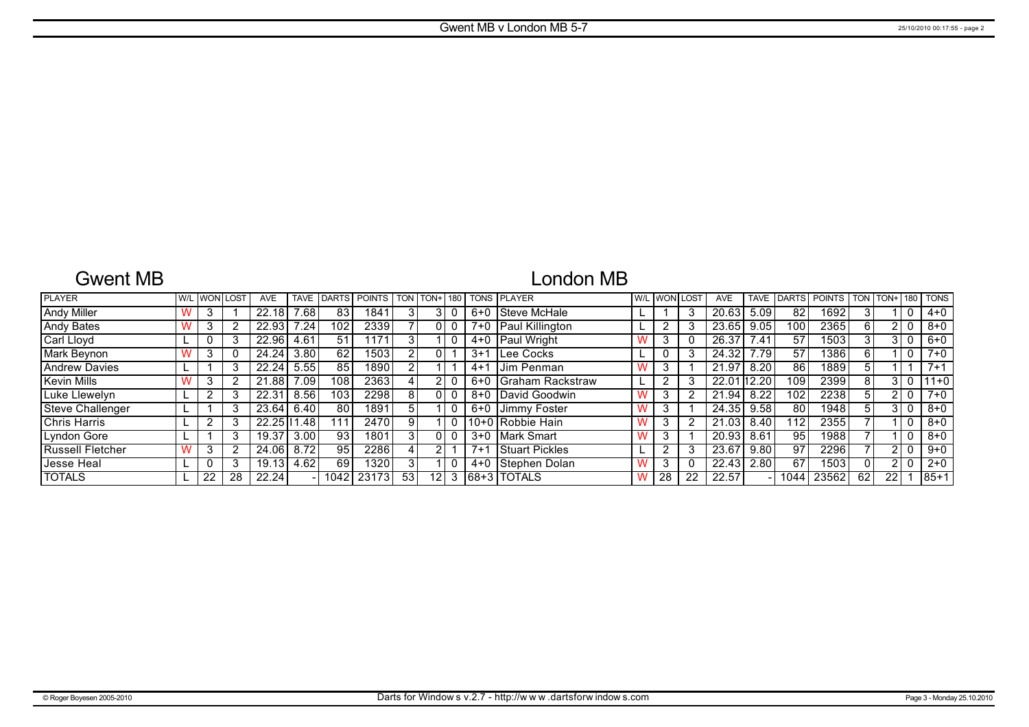# Gwent MB

# London MB

| <b>PLAYER</b>        |    | W/L WON LOST | <b>AVE</b> | <b>TAVE</b> | <b>IDARTS</b> | <b>POINTS</b> |     | <b>TON TON+1</b> | 180 L |         | <b>TONS PLAYER</b>    |                | W/L WON LOST | <b>AVE</b>  | <b>TAVE</b> | <b>DARTS</b>      | POINTS TON TON+ |             |                 |       | <b>180 TONS</b> |
|----------------------|----|--------------|------------|-------------|---------------|---------------|-----|------------------|-------|---------|-----------------------|----------------|--------------|-------------|-------------|-------------------|-----------------|-------------|-----------------|-------|-----------------|
| <b>Andy Miller</b>   |    |              | 22.18      | 7.68        | 83            | 1841          |     |                  |       | 6+0     | Steve McHale          |                | 3            | 20.63       | 5.09        | 82                | 1692            | 3           |                 |       | $4 + 0$         |
| <b>Andy Bates</b>    |    |              | 22.93      | 7.24        | 102           | 2339          |     |                  |       |         | 7+0   Paul Killington |                | 3            | 23.65       | 9.05        | 100               | 2365            | 6           |                 |       | $8 + 0$         |
| Carl Lloyd           |    |              | 22.96      | 4.61        | 51            | 171           |     |                  |       |         | 4+0   Paul Wright     | 3              | 0            | 26.37       | 7.41        | 57                | 1503            | 3           |                 |       | $6 + 0$         |
| Mark Beynon          |    |              | 24.24      | 3.80        | 62            | 15031         |     |                  |       | $3+1$   | Lee Cocks             |                | 3            | 24.32       | 7.79        | 57                | 1386            | 6           |                 |       | $7 + 0$         |
| <b>Andrew Davies</b> |    |              | 22.24      | 5.55        | 85            | 18901         |     |                  |       | $4 + 1$ | IJim Penman           | 3              |              | 21.97       | 8.20        | 86                | 18891           | $5^{\circ}$ |                 |       | $7 + 1$         |
| Kevin Mills          |    |              | 21.88      | 7.09        | 108           | 23631         |     |                  |       | 6+0     | Graham Rackstraw      | າ              | 3            | 22.01 12.20 |             | 109               | 2399            | 8           |                 |       | $11+0$          |
| Luke Llewelyn        |    |              | 22.31      | 8.56        | 103           | 2298          | 8   |                  |       |         | 8+0 David Goodwin     | 3              | 2            | 21.94       | 8.22        | 102               | 2238            | 5           |                 |       | $7 + 0$         |
| Steve Challenger     |    |              | 23.64      | 6.40        | 80            | 1891          | 51  |                  |       | $6 + 0$ | Jimmy Foster          | 3              |              | 24.35       | 9.58        | 80                | 1948            |             |                 | 3 I O | $8 + 0$         |
| <b>Chris Harris</b>  |    |              | 22.25111   | .48         | 111           | 2470          | 9   |                  |       |         | 10+0 Robbie Hain      | 3              | 2            | 21.03       | 8.40        | 112               | 2355            |             |                 |       | $8 + 0$         |
| Lyndon Gore          |    |              | 19.37      | 3.00        | 93            | 1801          |     |                  |       | $3+0$   | Mark Smart            | 3              |              | 20.93       | 8.61        | 95                | 1988            |             |                 |       | $8 + 0$         |
| Russell Fletcher     |    |              | 24.06      | 8.72        | 95            | 2286          |     |                  |       | $7 + 1$ | <b>Stuart Pickles</b> | $\overline{2}$ | 3            | 23.67       | 9.80        | 97                | 2296            |             |                 | l 0   | $9+0$           |
| Jesse Heal           |    |              | 19.13      | 4.62        | 69            | 1320          | 3 I |                  |       | 4+0     | l Stephen Dolan       | 3              | 0            | 22.43       | 2.80        | 67                | 15031           |             |                 |       | $2 + 0$         |
| <b>TOTALS</b>        | 22 | 28           | 22.24      |             | 10421         | 23173         | 53  | 12 <sub>1</sub>  | 3     |         | 168+3 TOTALS          | 28             | 22           | 22.57       |             | $104\overline{4}$ | 23562           | 62          | 22 <sub>1</sub> |       | $185+1$         |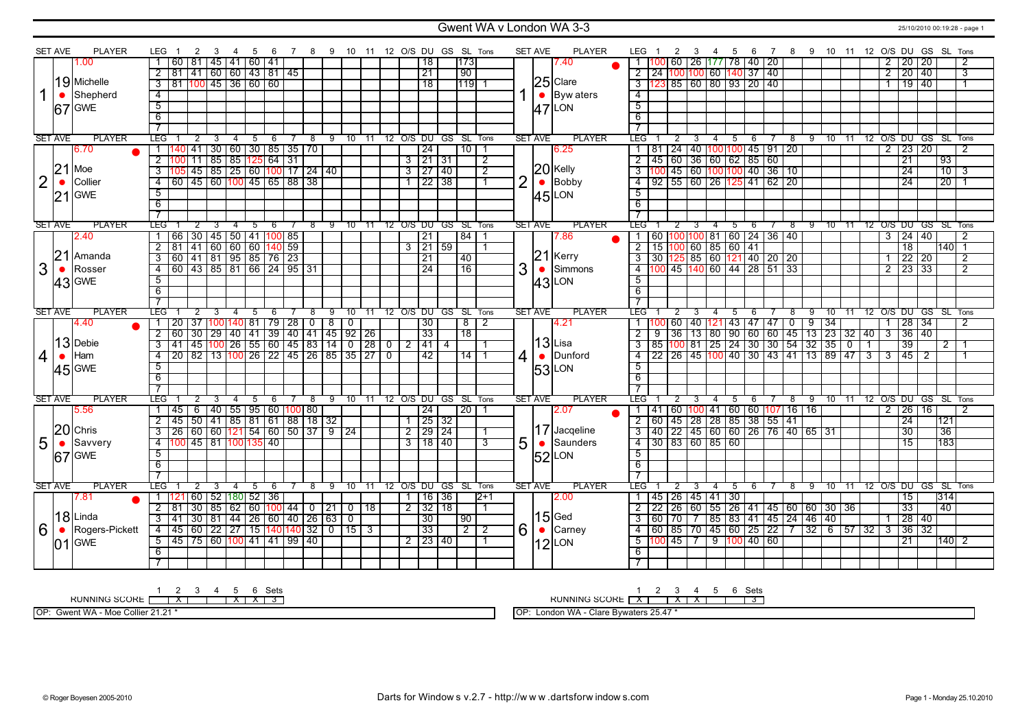### Gwent WA v London WA 3-3 25/10/2010 00:19:28 - page 1

|                | <b>SET AVE</b> | <b>PLAYER</b>  | LEG                                |                 | 2 | 3     |                                   |   | 5 | -6   | 7 | -8                                                                |   |                |       |                |                     |                   | 9 10 11 12 O/S DU GS SL Tons |                |                | <b>SET AVE</b> | <b>PLAYER</b>       | LEG<br>$\overline{2}$                                                                                                     | - 3            | -4             | 5                                  | 6   | $\overline{7}$ |                |       |    |       |                |                |                  | 8 9 10 11 12 O/S DU GS SL Tons |                 |                      |
|----------------|----------------|----------------|------------------------------------|-----------------|---|-------|-----------------------------------|---|---|------|---|-------------------------------------------------------------------|---|----------------|-------|----------------|---------------------|-------------------|------------------------------|----------------|----------------|----------------|---------------------|---------------------------------------------------------------------------------------------------------------------------|----------------|----------------|------------------------------------|-----|----------------|----------------|-------|----|-------|----------------|----------------|------------------|--------------------------------|-----------------|----------------------|
|                |                | 00.1           |                                    |                 |   |       | 60   81   45   41   60   41       |   |   |      |   |                                                                   |   |                |       |                | 18                  |                   | 173                          |                |                |                | 7.40                |                                                                                                                           |                |                | 60   26   177   78   40   20       |     |                |                |       |    |       |                | $\mathbf{2}$   | 20 <sub>1</sub>  | 20                             |                 | $\overline{2}$       |
|                |                |                | $\overline{2}$                     |                 |   |       | 81 41 60 60 43 81 45              |   |   |      |   |                                                                   |   |                |       |                | $\overline{21}$     |                   | 90                           |                |                |                |                     | 2 24 100 100 60 140 37 40                                                                                                 |                |                |                                    |     |                |                |       |    |       |                | $\overline{2}$ | 20 40            |                                |                 | $\overline{\cdot}$ 3 |
|                |                | 19 Michelle    | $\overline{\mathbf{3}}$            |                 |   |       | 81 100 45 36 60 60                |   |   |      |   |                                                                   |   |                |       |                | $\overline{18}$     |                   | 1119                         |                |                |                | $25$ Clare          |                                                                                                                           |                |                |                                    |     |                |                |       |    |       |                | $\mathbf{1}$   | $\frac{19}{140}$ |                                |                 | $\overline{1}$       |
| 1              | $\bullet$      | Shepherd       | $\overline{4}$                     |                 |   |       |                                   |   |   |      |   |                                                                   |   |                |       |                |                     |                   |                              |                |                |                | $\bullet$ Byw aters | $\overline{4}$                                                                                                            |                |                |                                    |     |                |                |       |    |       |                |                |                  |                                |                 |                      |
|                |                | $67$ GWE       | $\overline{5}$                     |                 |   |       |                                   |   |   |      |   |                                                                   |   |                |       |                |                     |                   |                              |                |                |                | $47$ LON            | $\overline{5}$                                                                                                            |                |                |                                    |     |                |                |       |    |       |                |                |                  |                                |                 |                      |
|                |                |                | 6                                  |                 |   |       |                                   |   |   |      |   |                                                                   |   |                |       |                |                     |                   |                              |                |                |                |                     | 6                                                                                                                         |                |                |                                    |     |                |                |       |    |       |                |                |                  |                                |                 |                      |
|                |                |                | $\overline{7}$                     |                 |   |       |                                   |   |   |      |   |                                                                   |   |                |       |                |                     |                   |                              |                |                |                |                     |                                                                                                                           |                |                |                                    |     |                |                |       |    |       |                |                |                  |                                |                 |                      |
|                | <b>SET AVE</b> | <b>PLAYER</b>  | <b>LEG</b>                         |                 |   |       |                                   | 4 | 5 | $-6$ |   | $^{\circ}$ 8                                                      |   |                |       |                |                     |                   | 9 10 11 12 O/S DU GS SL Tons |                |                | <b>SET AVE</b> | <b>PLAYER</b>       | <b>LEG</b>                                                                                                                |                | $\overline{4}$ | $\overline{5}$                     | 6   |                | $^8$           |       |    |       |                |                |                  | 9 10 11 12 O/S DU GS SL Tons   |                 |                      |
|                |                | 6.70           |                                    |                 |   |       |                                   |   |   |      |   | 140   41   30   60   30   85   35   70                            |   |                |       |                | $\overline{24}$     |                   | $10^{-}$                     |                |                |                | 6.25                | 81 ا                                                                                                                      |                |                | 24   40   100   100   45   91   20 |     |                |                |       |    |       |                | 2 <sup>1</sup> | 23   20          |                                |                 | $\overline{2}$       |
|                |                |                |                                    |                 |   |       | 2 100 11 85 85 125 64 31          |   |   |      |   |                                                                   |   |                |       |                | 312131              |                   |                              | $\overline{2}$ |                |                |                     | $2$ 45 60 36 60 62 85 60                                                                                                  |                |                |                                    |     |                |                |       |    |       |                |                | 21               |                                | $\overline{93}$ |                      |
|                | 21             | Moe            |                                    |                 |   |       |                                   |   |   |      |   | 3 105 45 85 25 60 100 17 24 40                                    |   |                |       |                | $3 \mid 27 \mid 40$ |                   |                              | $\overline{2}$ |                |                | $20$ Kelly          | 100 45 60 100 100 40 36 10<br>$\overline{3}$                                                                              |                |                |                                    |     |                |                |       |    |       |                |                | $\overline{24}$  |                                | $\frac{10}{3}$  |                      |
| 2              | $\bullet$      | Collier        |                                    |                 |   |       |                                   |   |   |      |   | $\overline{4}$ 60 $\overline{45}$ 60 $\overline{100}$ 45 65 88 38 |   |                |       |                | $1$ 22 38           |                   |                              | $\overline{1}$ | $\overline{2}$ |                | $\bullet$ Bobby     | $4$ 92 55 60 26 125 41 62 20                                                                                              |                |                |                                    |     |                |                |       |    |       |                |                | $\overline{24}$  |                                | $\overline{20}$ |                      |
|                |                | $21$ GWE       | $\overline{5}$                     |                 |   |       |                                   |   |   |      |   |                                                                   |   |                |       |                |                     |                   |                              |                |                |                |                     | $\overline{5}$                                                                                                            |                |                |                                    |     |                |                |       |    |       |                |                |                  |                                |                 |                      |
|                |                |                | 6                                  |                 |   |       |                                   |   |   |      |   |                                                                   |   |                |       |                |                     |                   |                              |                |                |                | $ 45 $ LON          | 6                                                                                                                         |                |                |                                    |     |                |                |       |    |       |                |                |                  |                                |                 |                      |
|                |                |                | $\overline{7}$                     |                 |   |       |                                   |   |   |      |   |                                                                   |   |                |       |                |                     |                   |                              |                |                |                |                     |                                                                                                                           |                |                |                                    |     |                |                |       |    |       |                |                |                  |                                |                 |                      |
|                | <b>SET AVE</b> | <b>PLAYER</b>  | LEGT                               |                 |   |       |                                   |   | 5 | -6   |   | 8                                                                 |   | 9 10 11        |       |                |                     |                   | 12 O/S DU GS SL Tons         |                |                | <b>SET AVE</b> | <b>PLAYER</b>       | 'LEG                                                                                                                      |                | -4             | -5                                 | - 6 |                | -8             | -9    |    |       |                |                |                  | 10 11 12 0/S DU GS SL Tons     |                 |                      |
|                |                | 2.40           |                                    |                 |   |       | 66 30 45 50 41 100 85             |   |   |      |   |                                                                   |   |                |       |                | $\overline{21}$     |                   | 84                           |                |                |                | 17.86               | 60<br>$\mathbf{1}$                                                                                                        | 100 100        |                | 81 60 24 36 40                     |     |                |                |       |    |       |                | $3-1$          | 24 40            |                                |                 | $\overline{2}$       |
|                |                |                | $\overline{2}$                     |                 |   |       | $\frac{1}{81}$ 41 60 60 60 140 59 |   |   |      |   |                                                                   |   |                |       | $\overline{3}$ |                     | $\frac{1}{21}$ 59 |                              |                |                |                |                     | $2 \mid 15$<br>100                                                                                                        |                |                | 60 85 60 41                        |     |                |                |       |    |       |                |                | $\overline{18}$  |                                | $140$ 1         |                      |
|                | 21             | Amanda         | $\overline{\overline{\mathbf{3}}}$ |                 |   |       |                                   |   |   |      |   |                                                                   |   |                |       |                | $\overline{21}$     |                   | $\sqrt{40}$                  |                |                | 21             | Kerry               | $\frac{1}{3}$ $\frac{1}{30}$ $\frac{1}{25}$ $\frac{25}{85}$ $\frac{60}{121}$ $\frac{1}{40}$ $\frac{1}{20}$ $\frac{1}{20}$ |                |                |                                    |     |                |                |       |    |       |                | $\overline{1}$ | 22   20          |                                |                 | $\overline{2}$       |
| 3              |                | Rosser         | $\overline{4}$                     |                 |   |       |                                   |   |   |      |   | 60 43 85 81 66 24 95 31                                           |   |                |       |                | $\overline{24}$     |                   | $\overline{16}$              |                | 3              |                | Simmons             | $\overline{4}$                                                                                                            |                |                | 145 140 60 144 28 51 33            |     |                |                |       |    |       |                | $\overline{2}$ | $\overline{23}$  | $\overline{33}$                |                 | $\overline{2}$       |
|                |                |                | $\overline{5}$                     |                 |   |       |                                   |   |   |      |   |                                                                   |   |                |       |                |                     |                   |                              |                |                |                |                     | $\overline{5}$                                                                                                            |                |                |                                    |     |                |                |       |    |       |                |                |                  |                                |                 |                      |
|                |                | 43 GWE         | 6                                  |                 |   |       |                                   |   |   |      |   |                                                                   |   |                |       |                |                     |                   |                              |                |                |                | $ 43 $ LON          | 6                                                                                                                         |                |                |                                    |     |                |                |       |    |       |                |                |                  |                                |                 |                      |
|                |                |                | $\overline{7}$                     |                 |   |       |                                   |   |   |      |   |                                                                   |   |                |       |                |                     |                   |                              |                |                |                |                     |                                                                                                                           |                |                |                                    |     |                |                |       |    |       |                |                |                  |                                |                 |                      |
|                | <b>SET AVE</b> | <b>PLAYER</b>  | LEG <sup>-</sup>                   |                 |   |       |                                   |   |   |      |   | 8                                                                 | 9 | 10             | -11   |                | 12 O/S DU           | GS .              |                              | SL Tons        |                | <b>SET AVE</b> | <b>PLAYER</b>       | LEG.                                                                                                                      |                |                | 5                                  | 6   |                | 8              | -9    | 10 |       |                |                |                  | 12 O/S DU GS SL Tons           |                 |                      |
|                |                | 4.40           |                                    | 20 <sub>1</sub> |   |       | 37   100   140   81   79   28     |   |   |      |   | 0                                                                 | 8 | $\overline{0}$ |       |                | $\overline{30}$     |                   | 8                            | $\overline{2}$ |                |                | 4.21                | 60<br>1 100                                                                                                               | 40             |                | $121$ 43 47 47                     |     |                | $\overline{0}$ | 9     | 34 |       |                |                | $\overline{28}$  | 34                             |                 | $\overline{2}$       |
|                |                |                | $\overline{2}$                     | 60              |   | 30 29 |                                   |   |   |      |   | 40 41 39 40 41 45 92 26                                           |   |                |       |                | 33                  |                   | 18                           |                |                |                |                     | 36<br>$\overline{2}$<br>9                                                                                                 | 13             | 80             | $\boxed{90}$ 60 60 45              |     |                |                | 13 23 |    | 32 40 |                | $\overline{3}$ | $\overline{36}$  | 40                             |                 |                      |
|                |                | $13$ Debie     | $3-1$                              |                 |   |       |                                   |   |   |      |   | 41 45 100 26 55 60 45 83 14 0 28 0 2 41 4                         |   |                |       |                |                     |                   |                              |                |                |                | $ 13 $ Lisa         | 3 85 100 81 25 24 30 30 54 32 35 0                                                                                        |                |                |                                    |     |                |                |       |    |       | $\overline{1}$ |                | $\overline{39}$  |                                | 2 <sup>1</sup>  | $\overline{1}$       |
| $\overline{4}$ | $\bullet$      | Ham            | $\overline{4}$                     |                 |   |       |                                   |   |   |      |   | 20   82   13  100   26   22   45   26   85   35   27   0          |   |                |       |                | 42                  |                   | $14$   1                     |                | 4              |                | Dunford             | 122 26 45 100 40 30 43 41 13 89 47 3<br>$\overline{4}$                                                                    |                |                |                                    |     |                |                |       |    |       |                |                | $3 \mid 45 \mid$ | $\overline{2}$                 |                 |                      |
|                |                | $45$ GWE       | 5                                  |                 |   |       |                                   |   |   |      |   |                                                                   |   |                |       |                |                     |                   |                              |                |                |                | <b>53 LON</b>       | 5                                                                                                                         |                |                |                                    |     |                |                |       |    |       |                |                |                  |                                |                 |                      |
|                |                |                | 6                                  |                 |   |       |                                   |   |   |      |   |                                                                   |   |                |       |                |                     |                   |                              |                |                |                |                     | 6                                                                                                                         |                |                |                                    |     |                |                |       |    |       |                |                |                  |                                |                 |                      |
|                |                |                | $\overline{7}$                     |                 |   |       |                                   |   |   |      |   |                                                                   |   |                |       |                |                     |                   |                              |                |                |                |                     | $\overline{7}$                                                                                                            |                |                |                                    |     |                |                |       |    |       |                |                |                  |                                |                 |                      |
|                | <b>SET AVE</b> | <b>PLAYER</b>  | LEG <sup>-</sup>                   |                 |   |       |                                   |   | 5 |      |   | 8                                                                 | 9 | 10             | $-11$ |                | 12 O/S DU           |                   | GS SL Tons                   |                |                | <b>SET AVE</b> | <b>PLAYER</b>       | <b>LEG</b>                                                                                                                |                |                | 5                                  | 6   |                | 8              | 9     |    |       |                |                |                  | 10 11 12 O/S DU GS SL Tons     |                 |                      |
|                |                | 5.56           |                                    |                 |   |       |                                   |   |   |      |   | 1   45   6   40   55   95   60   100   80                         |   |                |       |                | 24                  |                   | 20 1                         |                |                |                | 2.07                | 1   41   60   100   41   60   60   107   16   16                                                                          |                |                |                                    |     |                |                |       |    |       |                |                | 2   26   16      |                                |                 | -2                   |
|                |                |                | $\overline{2}$                     |                 |   |       |                                   |   |   |      |   | 45 50 41 85 81 61 88 18 32                                        |   |                |       |                | 1 25 32             |                   |                              |                |                |                |                     | 60   45   28   28   85   38   55   41                                                                                     |                |                |                                    |     |                |                |       |    |       |                |                | 24               |                                | 121             |                      |
|                |                | $20$ Chris     | $\overline{3}$                     |                 |   |       |                                   |   |   |      |   | $\frac{26}{160}$ 60 $\frac{121}{54}$ 54 60 50 37 9 24             |   |                |       |                | 2 29 24             |                   |                              |                |                |                | 17 Jacqeline        | 40   22   45   60   60   26   76   40   65   31<br>3                                                                      |                |                |                                    |     |                |                |       |    |       |                |                | 30               |                                | 36              |                      |
| 5              | $\bullet$      | Savvery        | $\overline{4}$                     |                 |   |       | 100 45 81 100 135 40              |   |   |      |   |                                                                   |   |                |       |                | 3   18   40         |                   |                              | 3              | 5              | $\bullet$      | Saunders            | 4 30 83 60 85 60                                                                                                          |                |                |                                    |     |                |                |       |    |       |                |                | 15               |                                | 183             |                      |
|                |                | $67$ GWE       | 5                                  |                 |   |       |                                   |   |   |      |   |                                                                   |   |                |       |                |                     |                   |                              |                |                |                | <b>52 LON</b>       | 5                                                                                                                         |                |                |                                    |     |                |                |       |    |       |                |                |                  |                                |                 |                      |
|                |                |                | 6                                  |                 |   |       |                                   |   |   |      |   |                                                                   |   |                |       |                |                     |                   |                              |                |                |                |                     | 6                                                                                                                         |                |                |                                    |     |                |                |       |    |       |                |                |                  |                                |                 |                      |
|                |                |                | $\overline{7}$                     |                 |   |       |                                   |   |   |      |   |                                                                   |   |                |       |                |                     |                   |                              |                |                |                |                     | $\overline{7}$                                                                                                            |                |                |                                    |     |                |                |       |    |       |                |                |                  |                                |                 |                      |
|                | <b>SET AVE</b> | <b>PLAYER</b>  | <b>LEG</b>                         |                 | 2 |       |                                   |   | 5 | -6   |   | $^8$                                                              | 9 | 10             | $-11$ |                |                     |                   | 12 O/S DU GS SL Tons         |                |                | <b>SET AVE</b> | <b>PLAYER</b>       | <b>LEG</b>                                                                                                                | 3              | $\overline{4}$ | 5                                  | 6   | 7              | $^8$           | 9     |    |       |                |                |                  | 10 11 12 0/S DU GS SL Tons     |                 |                      |
|                |                | 7.81           |                                    |                 |   |       | 121 60 52 180 52 36               |   |   |      |   |                                                                   |   |                |       |                | 1   16   36         |                   |                              | $ 2+1 $        |                |                | 12.00               | 1   45   26   45   41   30                                                                                                |                |                |                                    |     |                |                |       |    |       |                |                | $\overline{15}$  |                                | 314             |                      |
|                |                |                | 2 <sup>1</sup>                     | 81 I            |   |       |                                   |   |   |      |   | $30 85 62 60 100 44 0 21 0 18$                                    |   |                |       |                | $2$ 32 18           |                   |                              | $\mathbf 1$    |                |                |                     | $2 \mid 22$                                                                                                               |                |                | 26 60 55 26 41 45 60 60 30 36      |     |                |                |       |    |       |                |                | 33               |                                | 40              |                      |
|                |                | $18$ Linda     | $\overline{3}$                     | $-41$           |   |       |                                   |   |   |      |   | 30 81 44 26 60 40 26 63 0                                         |   |                |       |                | 30                  |                   | 90                           |                |                |                | $ 15 $ Ged          | $\overline{70}$<br>$\overline{3}$<br>l 60                                                                                 | $\overline{7}$ |                | 85   83   41   45   24   46   40   |     |                |                |       |    |       |                |                | $28 \mid 40$     |                                |                 |                      |
| 6              | $\bullet$      | Rogers-Pickett | $-4$                               |                 |   |       |                                   |   |   |      |   | 45 60 22 27 15 140 140 32 0 15 3                                  |   |                |       |                | 33                  |                   | $\overline{2}$               | $\overline{2}$ | $6 \mid$       | $\bullet$      | Carney              | 4   60   85   70   45   60   25   22   7   32   6   57   32   3                                                           |                |                |                                    |     |                |                |       |    |       |                |                | $36 \mid 32$     |                                |                 |                      |
|                |                | $ 01 $ GWE     |                                    |                 |   |       |                                   |   |   |      |   | 5 45 75 60 100 41 41 99 40                                        |   |                |       |                | $2 \mid 23 \mid 40$ |                   |                              |                |                |                | $12$ LON            | $5 \overline{100} \overline{45} \overline{7}$                                                                             |                |                | $9 \mid 100 \mid 40 \mid 60$       |     |                |                |       |    |       |                |                | $\overline{21}$  |                                | 140   2         |                      |
|                |                |                | 6                                  |                 |   |       |                                   |   |   |      |   |                                                                   |   |                |       |                |                     |                   |                              |                |                |                |                     | 6                                                                                                                         |                |                |                                    |     |                |                |       |    |       |                |                |                  |                                |                 |                      |
|                |                |                |                                    |                 |   |       |                                   |   |   |      |   |                                                                   |   |                |       |                |                     |                   |                              |                |                |                |                     |                                                                                                                           |                |                |                                    |     |                |                |       |    |       |                |                |                  |                                |                 |                      |
|                |                |                |                                    |                 |   |       |                                   |   |   |      |   |                                                                   |   |                |       |                |                     |                   |                              |                |                |                |                     |                                                                                                                           |                |                |                                    |     |                |                |       |    |       |                |                |                  |                                |                 |                      |

1 2 3 4 5 6 Sets<br>RUNNING SCORE [ | X | | | X | X | 3

OP: Gwent WA - Moe Collier 21.21 \*

RUNNING SCORE 1 X 2 3 X 4 X 5 6 Sets 3

OP: London WA - Clare Bywaters 25.47 \*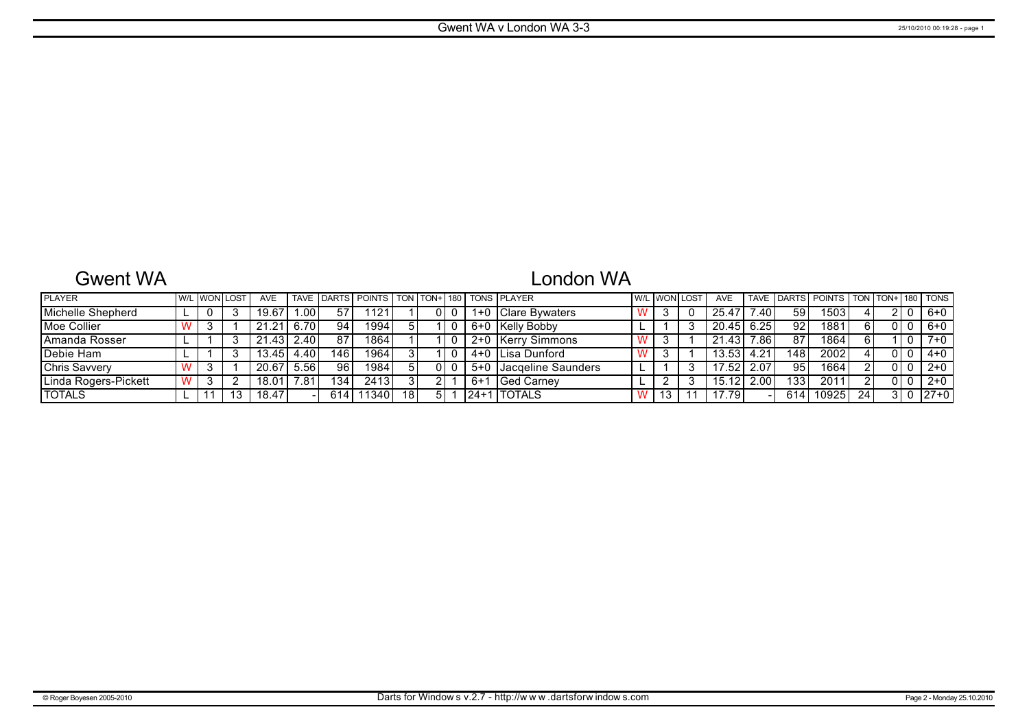# Gwent WA

# London WA

| <b>PLAYER</b>        |  | <u>I W/L I WONI LOST</u> | <b>AVE</b> |                   |     | TAVE IDARTS POINTS TON TON+1180 TONS PLAYER |    |  |         |                        | <b>W/L WON LOST</b> | <b>AVE</b> |      |     | TAVE DARTS POINTS |    |  | TON   TON+   180   TONS |
|----------------------|--|--------------------------|------------|-------------------|-----|---------------------------------------------|----|--|---------|------------------------|---------------------|------------|------|-----|-------------------|----|--|-------------------------|
| Michelle Shepherd    |  |                          | 19.67      | .00.              | 57  | $12^{\circ}$                                |    |  | 1+0     | <b>IClare Bywaters</b> | د                   | 25.47      | .40  | 59  | 1503              |    |  | 6+0                     |
| Moe Collier          |  |                          | 21<br>.21  | 6.70              | 94  | 19941                                       |    |  |         | 6+0 Kelly Bobby        |                     | 20.45      | 6.25 | 92  | 1881              |    |  | 6+0                     |
| IAmanda Rosser       |  |                          | .43<br>21  | 2.40 <sub>1</sub> | 87  | 1864                                        |    |  | $2 + 0$ | Kerry Simmons          |                     | 21.43      | .86  | 87  | 1864              |    |  | $7+0$                   |
| Debie Ham            |  |                          | 13.45      | 4.40              | 146 | 19641                                       |    |  |         | 4+0 ILisa Dunford      |                     | 13.53      | 4.21 | 148 | 2002              |    |  | $4 + 0$                 |
| <b>Chris Savvery</b> |  |                          | 20.67      | 5.56              | 96  | 1984                                        |    |  | $5+0$   | Jacqeline Saunders     |                     | 17.52      | 2.07 | 95  | 1664              |    |  | $2+0$                   |
| Linda Rogers-Pickett |  |                          | 18.01      | ∴81               | 134 | 2413                                        |    |  | -6+1    | <b>IGed Carnev</b>     |                     | 15.12      | .00  | 133 | 201'              |    |  | $2+0$                   |
| <b>TOTALS</b>        |  |                          | 18.47      |                   | 614 | 1340.                                       | 18 |  | 124+1   | <b>ITOTALS</b>         | ں ا                 | 17.79      |      | 614 | 10925             | 24 |  | $ 27+0 $                |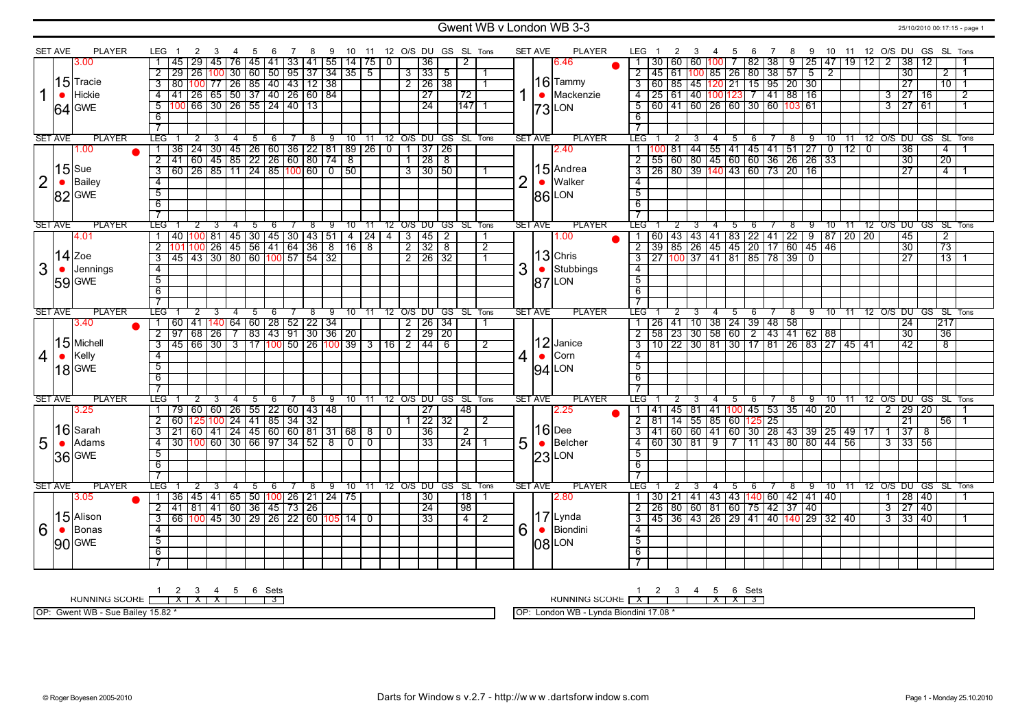### Gwent WB v London WB 3-3 25/10/2010 00:17:15 - page 1

|                | <b>SET AVE</b> | <b>PLAYER</b> | LEG                     | 2                                                                                                                   | 3              | 4              | 5              | - 6  | 78         | - 9                                             |                |                |                | 10 11 12 O/S DU GS SL Tons |                     |                  |                |                | <b>SET AVE</b> | <b>PLAYER</b>       | LEG 1            |             | 2<br>- 3                                  | -4             | 5                                                                                                                                                                | - 6                 | $\overline{7}$ | 8          |      |  |                                                                                                                                                                                                                               |                 | 9 10 11 12 O/S DU GS SL Tons     |                                   |                                |  |
|----------------|----------------|---------------|-------------------------|---------------------------------------------------------------------------------------------------------------------|----------------|----------------|----------------|------|------------|-------------------------------------------------|----------------|----------------|----------------|----------------------------|---------------------|------------------|----------------|----------------|----------------|---------------------|------------------|-------------|-------------------------------------------|----------------|------------------------------------------------------------------------------------------------------------------------------------------------------------------|---------------------|----------------|------------|------|--|-------------------------------------------------------------------------------------------------------------------------------------------------------------------------------------------------------------------------------|-----------------|----------------------------------|-----------------------------------|--------------------------------|--|
|                |                | 3.00          |                         | 45<br>l 29                                                                                                          |                | 45   76        |                |      |            | 45   41   33   41   55   14   75                |                |                | $\mathbf 0$    |                            | 36                  | $\overline{2}$   |                |                |                | 6.46                |                  | 30<br>l 60  | 60                                        |                | 7                                                                                                                                                                | $82 \mid 38 \mid 9$ |                |            |      |  | 25   47   19   12   2   38                                                                                                                                                                                                    |                 | 12                               |                                   |                                |  |
|                |                |               |                         | 29                                                                                                                  |                |                |                |      |            | 26   100   30   60   50   95   37   34   35   5 |                |                |                |                            | $3 \mid 33 \mid 5$  |                  | -1             |                |                |                     |                  | 2 45 61 100 |                                           |                | 85 26 80 38 57                                                                                                                                                   |                     |                |            | $-5$ |  |                                                                                                                                                                                                                               | 30              |                                  | 2 <sub>1</sub>                    |                                |  |
|                |                | $15$ Tracie   | $\overline{3}$          | 80 100 77 26 85 40 43 12 38                                                                                         |                |                |                |      |            |                                                 |                |                |                |                            | $2$ 26 38           |                  |                |                |                | $16$ Tammy          |                  |             |                                           |                | 3   60   85   45  120   21   15   95   20   30                                                                                                                   |                     |                |            |      |  |                                                                                                                                                                                                                               | 27              |                                  | $\overline{10}$                   |                                |  |
|                | $\bullet$      | Hickie        | $\overline{4}$          | 41 26 65 50 37 40 26 60 84                                                                                          |                |                |                |      |            |                                                 |                |                |                |                            | $\overline{27}$     | $\overline{72}$  |                |                |                | $\bullet$ Mackenzie |                  |             |                                           |                | 4 25 61 40 100 123 7 41 88 16                                                                                                                                    |                     |                |            |      |  |                                                                                                                                                                                                                               |                 | 3 27 16                          |                                   | $\overline{2}$                 |  |
|                |                |               | $\overline{5}$          | 100 66 30 26 55 24 40 13                                                                                            |                |                |                |      |            |                                                 |                |                |                |                            | $\overline{24}$     | 147 1            |                |                |                |                     |                  |             |                                           |                | 5 60 41 60 26 60 30 60 103 61                                                                                                                                    |                     |                |            |      |  |                                                                                                                                                                                                                               |                 | $3 \overline{27}$ 61             |                                   | $\overline{1}$                 |  |
|                |                | 64 GWE        |                         |                                                                                                                     |                |                |                |      |            |                                                 |                |                |                |                            |                     |                  |                |                |                | $ 73 $ LON          |                  |             |                                           |                |                                                                                                                                                                  |                     |                |            |      |  |                                                                                                                                                                                                                               |                 |                                  |                                   |                                |  |
|                |                |               | 6                       |                                                                                                                     |                |                |                |      |            |                                                 |                |                |                |                            |                     |                  |                |                |                |                     | 6                |             |                                           |                |                                                                                                                                                                  |                     |                |            |      |  |                                                                                                                                                                                                                               |                 |                                  |                                   |                                |  |
|                |                |               | $\overline{7}$          |                                                                                                                     |                |                |                |      |            |                                                 |                |                |                |                            |                     |                  |                |                |                |                     |                  |             |                                           |                |                                                                                                                                                                  |                     |                |            |      |  |                                                                                                                                                                                                                               |                 |                                  |                                   |                                |  |
|                | <b>SET AVE</b> | <b>PLAYER</b> | <b>LEG</b>              | 2<br>36   24   30   45   26   60   36   22   81   89   26   0   1   37   26                                         | - 3            | $\overline{4}$ |                | 5 6  |            | 7 8 9 10 11 12 O/S DU GS SL Tons                |                |                |                |                            |                     |                  |                |                | SET AVE        | <b>PLAYER</b>       | LEG <sub>1</sub> |             | $\overline{2}$<br>$\overline{\mathbf{3}}$ | $\overline{4}$ | 5 6                                                                                                                                                              |                     | 7 8            |            |      |  |                                                                                                                                                                                                                               | $\overline{36}$ | 9 10 11 12 0/S DU GS SL Tons     |                                   |                                |  |
|                |                | 1.00          |                         |                                                                                                                     |                |                |                |      |            |                                                 |                |                |                |                            |                     |                  |                |                |                | 2.40                |                  |             |                                           |                | 00 81 44 55 41 45 41 51 27 0 12 0<br>$\overline{2}$ 55 60 80 45 60 60 36 26 26 33                                                                                |                     |                |            |      |  |                                                                                                                                                                                                                               | $\overline{30}$ |                                  | $\overline{4}$<br>$\overline{20}$ |                                |  |
|                |                | $15$ Sue      | $\overline{2}$          | 41 60 45 85 22 26 60 80 74 8                                                                                        |                |                |                |      |            |                                                 |                |                |                |                            | 1 28 8              |                  |                |                |                | 15 Andrea           |                  |             |                                           |                |                                                                                                                                                                  |                     |                |            |      |  |                                                                                                                                                                                                                               |                 |                                  |                                   |                                |  |
|                |                |               | $\overline{\mathbf{3}}$ | 60 26 85 11 24 85 100 60 0 50                                                                                       |                |                |                |      |            |                                                 |                |                |                |                            | $3 \mid 30 \mid 50$ |                  |                |                |                |                     |                  |             |                                           |                | $\frac{3}{26} \left[ \frac{26}{80} \right] \left[ \frac{39}{140} \right] \left[ \frac{43}{60} \right] \left[ \frac{73}{20} \right] \left[ \frac{20}{16} \right]$ |                     |                |            |      |  |                                                                                                                                                                                                                               | $\overline{27}$ |                                  | $\overline{4}$                    |                                |  |
| $\overline{2}$ | $\bullet$      | Bailey        | $\overline{4}$          |                                                                                                                     |                |                |                |      |            |                                                 |                |                |                |                            |                     |                  |                | $\overline{2}$ |                | <b>Walker</b>       | $\overline{4}$   |             |                                           |                |                                                                                                                                                                  |                     |                |            |      |  |                                                                                                                                                                                                                               |                 |                                  |                                   |                                |  |
|                |                | <b>82 GWE</b> | $\overline{5}$          |                                                                                                                     |                |                |                |      |            |                                                 |                |                |                |                            |                     |                  |                |                |                | 86 LON              | $\overline{5}$   |             |                                           |                |                                                                                                                                                                  |                     |                |            |      |  |                                                                                                                                                                                                                               |                 |                                  |                                   |                                |  |
|                |                |               | $\overline{6}$          |                                                                                                                     |                |                |                |      |            |                                                 |                |                |                |                            |                     |                  |                |                |                |                     | $\overline{6}$   |             |                                           |                |                                                                                                                                                                  |                     |                |            |      |  |                                                                                                                                                                                                                               |                 |                                  |                                   |                                |  |
|                |                |               | $\overline{7}$          |                                                                                                                     |                |                |                |      |            |                                                 |                |                |                |                            |                     |                  |                |                |                |                     |                  |             |                                           |                |                                                                                                                                                                  |                     |                |            |      |  |                                                                                                                                                                                                                               |                 |                                  |                                   |                                |  |
|                | <b>SET AVE</b> | <b>PLAYER</b> | <b>LEG</b>              | $\overline{2}$                                                                                                      | 3              | $\overline{4}$ | $\overline{5}$ | $-6$ | 78         | 9 10 11 12 O/S DU GS SL Tons                    |                |                |                |                            |                     |                  |                |                | <b>SET AVE</b> | <b>PLAYER</b>       | LEG I            |             | 3                                         | -4             | $5 \t 6$                                                                                                                                                         |                     |                |            |      |  |                                                                                                                                                                                                                               |                 | 7 8 9 10 11 12 O/S DU GS SL Tons |                                   |                                |  |
|                |                | 4.01          |                         | 40 100 81 45 30 45 30 43 51 4 24 4 3 45 2                                                                           |                |                |                |      |            |                                                 |                |                |                |                            |                     |                  |                |                |                | 1.00                |                  |             |                                           |                | 1   60   43   43   41   83   22   41   22   9   87   20   20                                                                                                     |                     |                |            |      |  |                                                                                                                                                                                                                               | $\overline{45}$ |                                  | $\overline{2}$                    |                                |  |
|                |                |               | $\overline{2}$          | 101 100 26 45 56 41 64 36 8 16 8                                                                                    |                |                |                |      |            |                                                 |                |                |                | $2 \mid 32 \mid 8$         |                     |                  | $\overline{2}$ |                |                |                     |                  |             |                                           |                | 2 39 85 26 45 45 20 17 60 45 46                                                                                                                                  |                     |                |            |      |  |                                                                                                                                                                                                                               | 30              |                                  | $\overline{73}$                   |                                |  |
|                |                | $14$ Zoe      | $\overline{3}$          | 45 43 30 80 60 100 57 54 32                                                                                         |                |                |                |      |            |                                                 |                |                |                |                            | $2$   26   32       |                  | $\overline{1}$ |                |                | $13$ Chris          |                  |             |                                           |                | 3 27 100 37 41 81 85 78 39 0                                                                                                                                     |                     |                |            |      |  |                                                                                                                                                                                                                               | $\overline{27}$ |                                  |                                   | $\overline{13}\,\overline{11}$ |  |
| 3              | $\bullet$      | Jennings      | $\overline{4}$          |                                                                                                                     |                |                |                |      |            |                                                 |                |                |                |                            |                     |                  |                | 3              |                | Stubbings           | $\overline{4}$   |             |                                           |                |                                                                                                                                                                  |                     |                |            |      |  |                                                                                                                                                                                                                               |                 |                                  |                                   |                                |  |
|                |                | 59 GWE        | $\overline{5}$          |                                                                                                                     |                |                |                |      |            |                                                 |                |                |                |                            |                     |                  |                |                |                | <b>87 LON</b>       | $\overline{5}$   |             |                                           |                |                                                                                                                                                                  |                     |                |            |      |  |                                                                                                                                                                                                                               |                 |                                  |                                   |                                |  |
|                |                |               | $\overline{6}$          |                                                                                                                     |                |                |                |      |            |                                                 |                |                |                |                            |                     |                  |                |                |                |                     | 6                |             |                                           |                |                                                                                                                                                                  |                     |                |            |      |  |                                                                                                                                                                                                                               |                 |                                  |                                   |                                |  |
|                |                |               | $\overline{7}$          |                                                                                                                     |                |                |                |      |            |                                                 |                |                |                |                            |                     |                  |                |                |                |                     | $\overline{7}$   |             |                                           |                |                                                                                                                                                                  |                     |                |            |      |  |                                                                                                                                                                                                                               |                 |                                  |                                   |                                |  |
|                | <b>SET AVE</b> | <b>PLAYER</b> | LEG                     |                                                                                                                     | $\overline{3}$ | $\overline{4}$ | 5              | -6   | 8          | 9                                               |                |                |                | 10 11 12 O/S DU GS SL Tons |                     |                  |                |                | <b>SET AVE</b> | <b>PLAYER</b>       | LEG <sup>-</sup> |             |                                           | $\overline{4}$ | $-5$                                                                                                                                                             | - 6                 |                | $^{\circ}$ | _ე   |  |                                                                                                                                                                                                                               |                 | 10 11 12 O/S DU GS SL Tons       |                                   |                                |  |
|                |                | 3.40          | 1                       | 60   41   140   64   60   28   52   22   34                                                                         |                |                |                |      |            |                                                 |                |                |                |                            | $2 \mid 26 \mid 34$ |                  |                |                |                |                     |                  |             |                                           |                | 26 41 10 38 24 39 48 58                                                                                                                                          |                     |                |            |      |  |                                                                                                                                                                                                                               | $\overline{24}$ |                                  | 217                               |                                |  |
|                |                | $15$ Michell  |                         | $2   97   68   26   7   83   43   91   30   36   20$                                                                |                |                |                |      |            |                                                 |                |                |                | $2 \mid 29 \mid 20$        |                     |                  |                |                |                | $12$ Janice         |                  |             |                                           |                | $2$ 58 23 30 58 60 2 43 41 62 88                                                                                                                                 |                     |                |            |      |  |                                                                                                                                                                                                                               | $\overline{30}$ |                                  | $\overline{36}$                   |                                |  |
|                |                |               | $\overline{3}$          | 45 66 30 3 17 100 50 26 100 39 3 16 2 44 6                                                                          |                |                |                |      |            |                                                 |                |                |                |                            |                     |                  | $\overline{2}$ |                |                |                     | $\overline{3}$   |             |                                           |                | 10 22 30 81 30 17 81 26 83 27 45 41                                                                                                                              |                     |                |            |      |  |                                                                                                                                                                                                                               | 42              |                                  | $\overline{8}$                    |                                |  |
| $\overline{4}$ | $\bullet$      | Kelly         | $\overline{4}$          |                                                                                                                     |                |                |                |      |            |                                                 |                |                |                |                            |                     |                  |                | 4              | $\bullet$      | Corn                | $\overline{4}$   |             |                                           |                |                                                                                                                                                                  |                     |                |            |      |  |                                                                                                                                                                                                                               |                 |                                  |                                   |                                |  |
|                |                | $18$ GWE      | $\overline{5}$          |                                                                                                                     |                |                |                |      |            |                                                 |                |                |                |                            |                     |                  |                |                |                | $94$ LON            | $\overline{5}$   |             |                                           |                |                                                                                                                                                                  |                     |                |            |      |  |                                                                                                                                                                                                                               |                 |                                  |                                   |                                |  |
|                |                |               | 6                       |                                                                                                                     |                |                |                |      |            |                                                 |                |                |                |                            |                     |                  |                |                |                |                     | 6                |             |                                           |                |                                                                                                                                                                  |                     |                |            |      |  |                                                                                                                                                                                                                               |                 |                                  |                                   |                                |  |
|                |                |               | $\overline{7}$          |                                                                                                                     |                |                |                |      |            |                                                 |                |                |                |                            |                     |                  |                |                |                |                     |                  |             |                                           |                |                                                                                                                                                                  |                     |                |            |      |  |                                                                                                                                                                                                                               |                 |                                  |                                   |                                |  |
|                | <b>SET AVE</b> | <b>PLAYER</b> | <b>LEG</b>              |                                                                                                                     |                | 4              | 5              | 6    | $^{\circ}$ | 9                                               |                |                |                | 10 11 12 0/S DU GS SL Tons |                     |                  |                |                | <b>SET AVE</b> | <b>PLAYER</b>       | LEG .            |             |                                           | $\overline{4}$ | $5\quad 6$                                                                                                                                                       |                     |                |            |      |  |                                                                                                                                                                                                                               |                 | 7 8 9 10 11 12 0/S DU GS SL Tons |                                   |                                |  |
|                |                | 3.25          |                         | 79   60   60   26   55   22   60   43   48                                                                          |                |                |                |      |            |                                                 |                |                |                |                            | 27                  | 48               |                |                |                | 2.25                |                  |             |                                           |                | 1   41   45   81   41   100   45   53   35   40   20                                                                                                             |                     |                |            |      |  |                                                                                                                                                                                                                               |                 | 2 29 20                          |                                   |                                |  |
|                |                | 16 Sarah      | $\overline{2}$          | 60 125 100 24 41 85 34 32                                                                                           |                |                |                |      |            |                                                 |                |                |                |                            | 22 32               |                  | 2              |                |                | $16$ Dee            |                  |             |                                           |                | 2   81   14   55   85   60   125   25                                                                                                                            |                     |                |            |      |  |                                                                                                                                                                                                                               | 21              |                                  | 56                                |                                |  |
|                |                |               | $\overline{3}$          | $\frac{1}{21}$ 60 $\frac{1}{41}$ $\frac{1}{24}$ $\frac{1}{45}$ 60 $\frac{1}{60}$ 81 $\frac{1}{31}$ 68 $\frac{1}{8}$ |                |                |                |      |            |                                                 |                |                | $\overline{0}$ |                            | 36                  | $\overline{2}$   |                |                |                |                     |                  |             |                                           |                |                                                                                                                                                                  |                     |                |            |      |  | $\overline{3}$ $\overline{41}$ $\overline{60}$ $\overline{60}$ $\overline{41}$ $\overline{60}$ $\overline{30}$ $\overline{28}$ $\overline{43}$ $\overline{39}$ $\overline{25}$ $\overline{49}$ $\overline{17}$ $\overline{1}$ | $\overline{37}$ | -8                               |                                   |                                |  |
| 5              | $\bullet$      | Adams         | 4                       | $30  100  60  30  66  97  34  52  8$                                                                                |                |                |                |      |            |                                                 | $\overline{0}$ | $\overline{0}$ |                |                            | $ 33\rangle$        | 24   1           |                | 5              |                | <b>Belcher</b>      |                  |             |                                           |                | 4 60 30 81 9 7 11 43 80 80 44 56                                                                                                                                 |                     |                |            |      |  | $\overline{3}$                                                                                                                                                                                                                |                 | 33 56                            |                                   |                                |  |
|                |                | 36 GWE        | $5^{\circ}$             |                                                                                                                     |                |                |                |      |            |                                                 |                |                |                |                            |                     |                  |                |                |                | $23$ LON            | 5                |             |                                           |                |                                                                                                                                                                  |                     |                |            |      |  |                                                                                                                                                                                                                               |                 |                                  |                                   |                                |  |
|                |                |               | 6                       |                                                                                                                     |                |                |                |      |            |                                                 |                |                |                |                            |                     |                  |                |                |                |                     | $6\overline{6}$  |             |                                           |                |                                                                                                                                                                  |                     |                |            |      |  |                                                                                                                                                                                                                               |                 |                                  |                                   |                                |  |
|                |                |               | $\overline{7}$          |                                                                                                                     |                |                |                |      |            |                                                 |                |                |                |                            |                     |                  |                |                |                |                     | $\overline{7}$   |             |                                           |                |                                                                                                                                                                  |                     |                |            |      |  |                                                                                                                                                                                                                               |                 |                                  |                                   |                                |  |
|                | <b>SET AVE</b> | <b>PLAYER</b> | LEG                     |                                                                                                                     |                | $\overline{4}$ | 5              | - 6  |            | 7 8 9 10 11 12 O/S DU GS SL Tons                |                |                |                |                            |                     |                  |                |                | <b>SET AVE</b> | <b>PLAYER</b>       | LEG              |             |                                           | $\overline{4}$ | 5 6                                                                                                                                                              |                     |                |            |      |  |                                                                                                                                                                                                                               |                 | 7 8 9 10 11 12 O/S DU GS SL Tons |                                   |                                |  |
|                |                | 3.05          | $\mathbf{1}$            | 36   45   41   65   50   100   26   21   24   75                                                                    |                |                |                |      |            |                                                 |                |                |                |                            | 30                  | $18$   1         |                |                |                | 2.80                | $\overline{1}$   |             |                                           |                | 30   21   41   43   43   140   60   42   41   40                                                                                                                 |                     |                |            |      |  |                                                                                                                                                                                                                               |                 | $1 \mid 28 \mid 40$              |                                   | $\overline{1}$                 |  |
|                |                |               | $\overline{2}$          | 41 81 41 60 36 45 73 26                                                                                             |                |                |                |      |            |                                                 |                |                |                |                            | 24                  | 98               |                |                |                |                     | $\overline{2}$   |             |                                           |                | $\frac{26}{26}$ 80 60 81 60 75 42 37 40                                                                                                                          |                     |                |            |      |  |                                                                                                                                                                                                                               |                 | $3 \mid 27 \mid 40$              |                                   |                                |  |
|                |                | 15 Alison     | $\overline{3}$          | 66   100   45   30   29   26   22   60   105   14   0                                                               |                |                |                |      |            |                                                 |                |                |                |                            | 33                  | $\overline{4}$ 2 |                |                |                | $17$ Lynda          | $\overline{3}$   |             |                                           |                | 45   36   43   26   29   41   40   140   29   32   40                                                                                                            |                     |                |            |      |  |                                                                                                                                                                                                                               |                 | $3 \mid 33 \mid 40$              |                                   | $\overline{1}$                 |  |
|                | $\bullet$      | <b>Bonas</b>  | $\overline{4}$          |                                                                                                                     |                |                |                |      |            |                                                 |                |                |                |                            |                     |                  |                | 6              |                | <b>Biondini</b>     | $\overline{4}$   |             |                                           |                |                                                                                                                                                                  |                     |                |            |      |  |                                                                                                                                                                                                                               |                 |                                  |                                   |                                |  |
| 6              |                |               |                         |                                                                                                                     |                |                |                |      |            |                                                 |                |                |                |                            |                     |                  |                |                |                |                     | $\overline{5}$   |             |                                           |                |                                                                                                                                                                  |                     |                |            |      |  |                                                                                                                                                                                                                               |                 |                                  |                                   |                                |  |
|                |                |               | $\overline{5}$          |                                                                                                                     |                |                |                |      |            |                                                 |                |                |                |                            |                     |                  |                |                |                |                     |                  |             |                                           |                |                                                                                                                                                                  |                     |                |            |      |  |                                                                                                                                                                                                                               |                 |                                  |                                   |                                |  |
|                |                | 90 GWE        | $\overline{6}$          |                                                                                                                     |                |                |                |      |            |                                                 |                |                |                |                            |                     |                  |                |                |                | $08$  LON           | 6                |             |                                           |                |                                                                                                                                                                  |                     |                |            |      |  |                                                                                                                                                                                                                               |                 |                                  |                                   |                                |  |
|                |                |               | $\overline{\tau}$       |                                                                                                                     |                |                |                |      |            |                                                 |                |                |                |                            |                     |                  |                |                |                |                     |                  |             |                                           |                |                                                                                                                                                                  |                     |                |            |      |  |                                                                                                                                                                                                                               |                 |                                  |                                   |                                |  |

1 2 3 4 5 6 Sets<br>RUNNING SCORE [ | X | X | X | | | | 3

OP: Gwent WB - Sue Bailey 15.82 \*

RUNNING SCORE 1 X 2 3 4 5 X 6 X Sets 3

OP: London WB - Lynda Biondini 17.08 \*